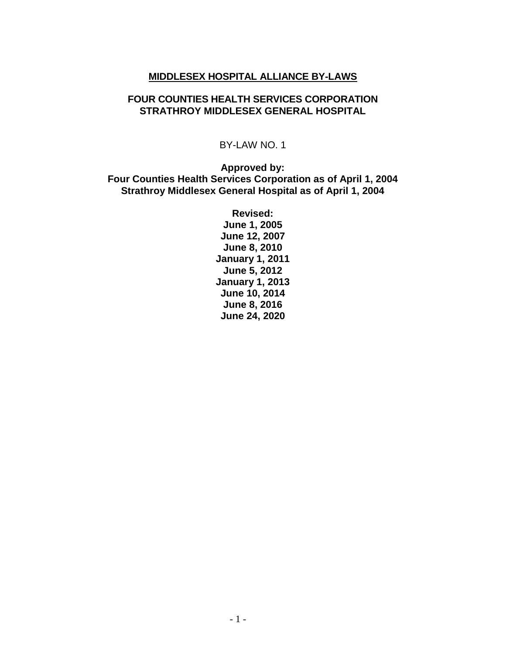#### **MIDDLESEX HOSPITAL ALLIANCE BY-LAWS**

#### **FOUR COUNTIES HEALTH SERVICES CORPORATION STRATHROY MIDDLESEX GENERAL HOSPITAL**

#### BY-LAW NO. 1

**Approved by: Four Counties Health Services Corporation as of April 1, 2004 Strathroy Middlesex General Hospital as of April 1, 2004**

> **Revised: June 1, 2005 June 12, 2007 June 8, 2010 January 1, 2011 June 5, 2012 January 1, 2013 June 10, 2014 June 8, 2016 June 24, 2020**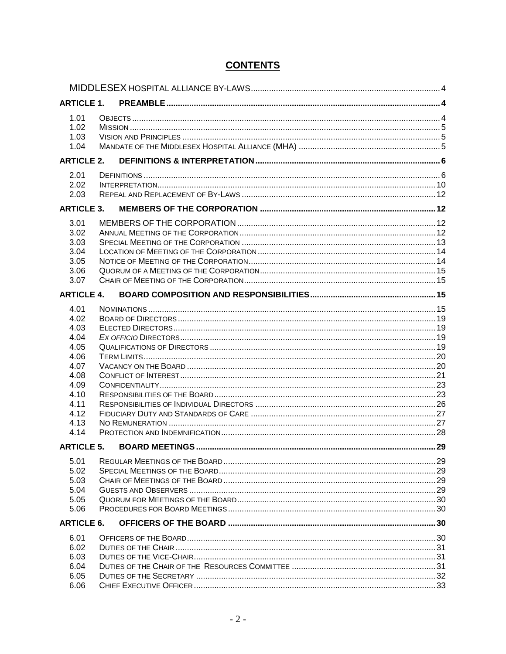| <b>ARTICLE 1.</b> |  |  |  |  |
|-------------------|--|--|--|--|
| 1.01              |  |  |  |  |
| 1.02              |  |  |  |  |
| 1.03              |  |  |  |  |
| 1.04              |  |  |  |  |
| <b>ARTICLE 2.</b> |  |  |  |  |
| 2.01              |  |  |  |  |
| 2.02              |  |  |  |  |
| 2.03              |  |  |  |  |
| <b>ARTICLE 3.</b> |  |  |  |  |
|                   |  |  |  |  |
| 3.01              |  |  |  |  |
| 3.02              |  |  |  |  |
| 3.03<br>3.04      |  |  |  |  |
| 3.05              |  |  |  |  |
| 3.06              |  |  |  |  |
| 3.07              |  |  |  |  |
| <b>ARTICLE 4.</b> |  |  |  |  |
|                   |  |  |  |  |
| 4.01              |  |  |  |  |
| 4.02              |  |  |  |  |
| 4.03              |  |  |  |  |
| 4.04              |  |  |  |  |
| 4.05              |  |  |  |  |
| 4.06<br>4.07      |  |  |  |  |
| 4.08              |  |  |  |  |
| 4.09              |  |  |  |  |
| 4.10              |  |  |  |  |
| 4.11              |  |  |  |  |
| 4.12              |  |  |  |  |
| 4.13              |  |  |  |  |
| 4.14              |  |  |  |  |
| <b>ARTICLE 5.</b> |  |  |  |  |
| 5.01              |  |  |  |  |
| 5.02              |  |  |  |  |
| 5.03              |  |  |  |  |
| 5.04              |  |  |  |  |
| 5.05              |  |  |  |  |
| 5.06              |  |  |  |  |
| <b>ARTICLE 6.</b> |  |  |  |  |
| 6.01              |  |  |  |  |
| 6.02              |  |  |  |  |
| 6.03              |  |  |  |  |
| 6.04              |  |  |  |  |
| 6.05              |  |  |  |  |
| 6.06              |  |  |  |  |

# **CONTENTS**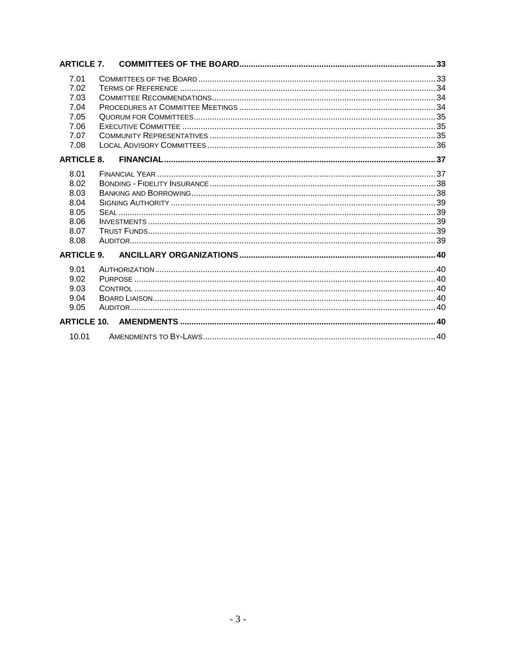| <b>ARTICLE 7.</b> |  |  |  |
|-------------------|--|--|--|
| 7.01              |  |  |  |
| 7.02              |  |  |  |
| 7.03              |  |  |  |
| 7.04              |  |  |  |
| 7.05              |  |  |  |
| 7.06              |  |  |  |
| 7.07              |  |  |  |
| 7.08              |  |  |  |
| <b>ARTICLE 8.</b> |  |  |  |
| 8.01              |  |  |  |
| 8.02              |  |  |  |
| 8.03              |  |  |  |
| 8.04              |  |  |  |
| 8.05              |  |  |  |
| 8.06              |  |  |  |
| 8.07              |  |  |  |
| 8.08              |  |  |  |
| <b>ARTICLE 9.</b> |  |  |  |
| 9.01              |  |  |  |
| 9.02              |  |  |  |
| 9.03              |  |  |  |
| 9.04              |  |  |  |
| 9.05              |  |  |  |
|                   |  |  |  |
| 10.01             |  |  |  |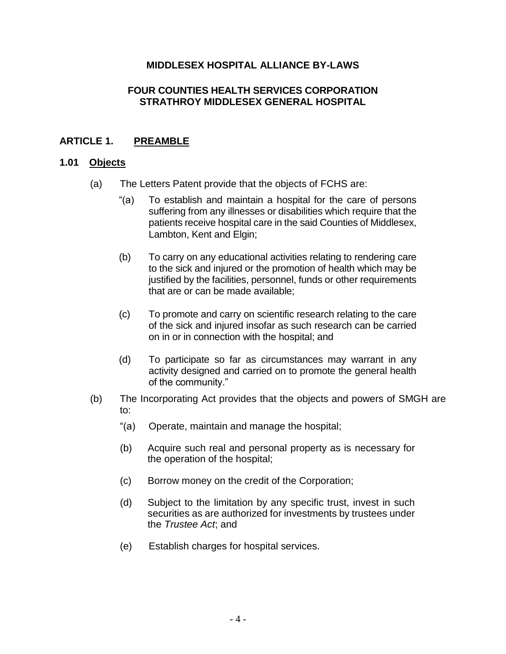# **MIDDLESEX HOSPITAL ALLIANCE BY-LAWS**

### <span id="page-3-0"></span>**FOUR COUNTIES HEALTH SERVICES CORPORATION STRATHROY MIDDLESEX GENERAL HOSPITAL**

# <span id="page-3-1"></span>**ARTICLE 1. PREAMBLE**

### <span id="page-3-2"></span>**1.01 Objects**

- (a) The Letters Patent provide that the objects of FCHS are:
	- "(a) To establish and maintain a hospital for the care of persons suffering from any illnesses or disabilities which require that the patients receive hospital care in the said Counties of Middlesex, Lambton, Kent and Elgin;
	- (b) To carry on any educational activities relating to rendering care to the sick and injured or the promotion of health which may be justified by the facilities, personnel, funds or other requirements that are or can be made available;
	- (c) To promote and carry on scientific research relating to the care of the sick and injured insofar as such research can be carried on in or in connection with the hospital; and
	- (d) To participate so far as circumstances may warrant in any activity designed and carried on to promote the general health of the community."
- (b) The Incorporating Act provides that the objects and powers of SMGH are to:
	- "(a) Operate, maintain and manage the hospital;
	- (b) Acquire such real and personal property as is necessary for the operation of the hospital;
	- (c) Borrow money on the credit of the Corporation;
	- (d) Subject to the limitation by any specific trust, invest in such securities as are authorized for investments by trustees under the *Trustee Act*; and
	- (e) Establish charges for hospital services.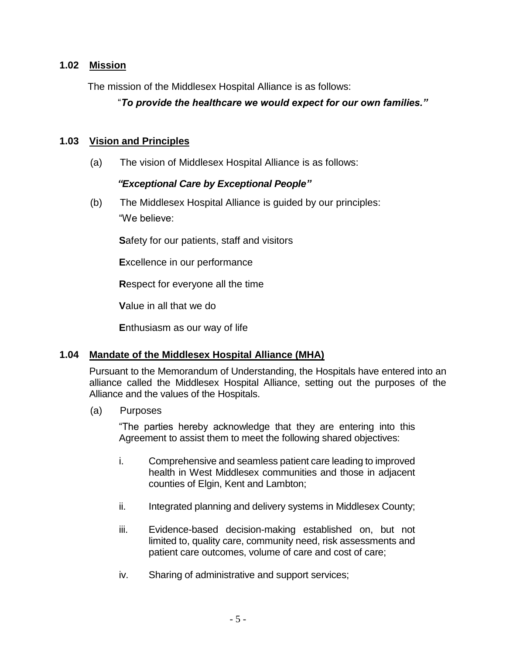# <span id="page-4-0"></span>**1.02 Mission**

The mission of the Middlesex Hospital Alliance is as follows:

# "*To provide the healthcare we would expect for our own families."*

### <span id="page-4-1"></span>**1.03 Vision and Principles**

(a) The vision of Middlesex Hospital Alliance is as follows:

# *"Exceptional Care by Exceptional People"*

(b) The Middlesex Hospital Alliance is guided by our principles: "We believe:

**S**afety for our patients, staff and visitors

**E**xcellence in our performance

**R**espect for everyone all the time

**V**alue in all that we do

**E**nthusiasm as our way of life

#### <span id="page-4-2"></span>**1.04 Mandate of the Middlesex Hospital Alliance (MHA)**

Pursuant to the Memorandum of Understanding, the Hospitals have entered into an alliance called the Middlesex Hospital Alliance, setting out the purposes of the Alliance and the values of the Hospitals.

(a) Purposes

"The parties hereby acknowledge that they are entering into this Agreement to assist them to meet the following shared objectives:

- i. Comprehensive and seamless patient care leading to improved health in West Middlesex communities and those in adjacent counties of Elgin, Kent and Lambton;
- ii. Integrated planning and delivery systems in Middlesex County;
- iii. Evidence-based decision-making established on, but not limited to, quality care, community need, risk assessments and patient care outcomes, volume of care and cost of care;
- iv. Sharing of administrative and support services;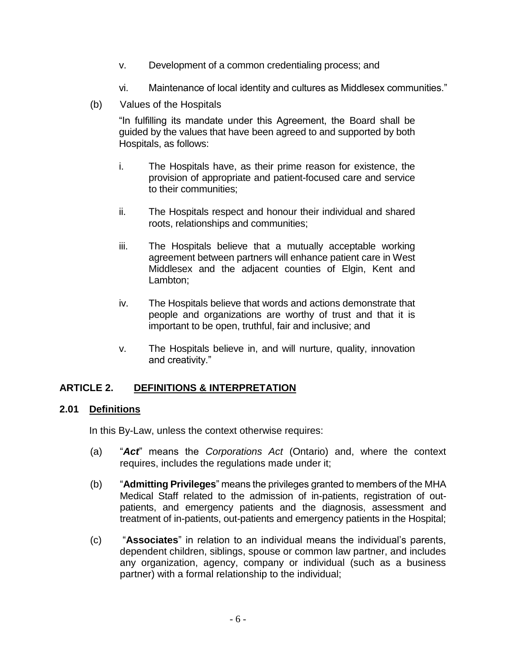- v. Development of a common credentialing process; and
- vi. Maintenance of local identity and cultures as Middlesex communities."
- (b) Values of the Hospitals

"In fulfilling its mandate under this Agreement, the Board shall be guided by the values that have been agreed to and supported by both Hospitals, as follows:

- i. The Hospitals have, as their prime reason for existence, the provision of appropriate and patient-focused care and service to their communities;
- ii. The Hospitals respect and honour their individual and shared roots, relationships and communities;
- iii. The Hospitals believe that a mutually acceptable working agreement between partners will enhance patient care in West Middlesex and the adjacent counties of Elgin, Kent and Lambton;
- iv. The Hospitals believe that words and actions demonstrate that people and organizations are worthy of trust and that it is important to be open, truthful, fair and inclusive; and
- v. The Hospitals believe in, and will nurture, quality, innovation and creativity."

# <span id="page-5-0"></span>**ARTICLE 2. DEFINITIONS & INTERPRETATION**

#### <span id="page-5-1"></span>**2.01 Definitions**

In this By-Law, unless the context otherwise requires:

- (a) "*Act*" means the *Corporations Act* (Ontario) and, where the context requires, includes the regulations made under it;
- (b) "**Admitting Privileges**" means the privileges granted to members of the MHA Medical Staff related to the admission of in-patients, registration of outpatients, and emergency patients and the diagnosis, assessment and treatment of in-patients, out-patients and emergency patients in the Hospital;
- (c) "**Associates**" in relation to an individual means the individual's parents, dependent children, siblings, spouse or common law partner, and includes any organization, agency, company or individual (such as a business partner) with a formal relationship to the individual;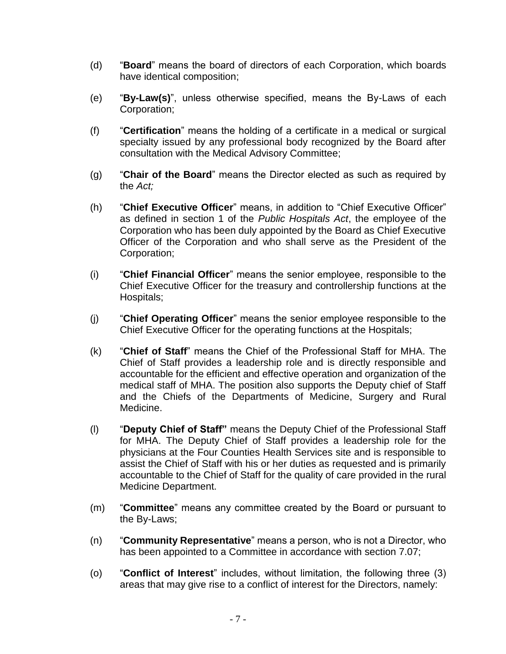- (d) "**Board**" means the board of directors of each Corporation, which boards have identical composition;
- (e) "**By-Law(s)**", unless otherwise specified, means the By-Laws of each Corporation;
- (f) "**Certification**" means the holding of a certificate in a medical or surgical specialty issued by any professional body recognized by the Board after consultation with the Medical Advisory Committee;
- (g) "**Chair of the Board**" means the Director elected as such as required by the *Act;*
- (h) "**Chief Executive Officer**" means, in addition to "Chief Executive Officer" as defined in section 1 of the *Public Hospitals Act*, the employee of the Corporation who has been duly appointed by the Board as Chief Executive Officer of the Corporation and who shall serve as the President of the Corporation;
- (i) "**Chief Financial Officer**" means the senior employee, responsible to the Chief Executive Officer for the treasury and controllership functions at the Hospitals;
- (j) "**Chief Operating Officer**" means the senior employee responsible to the Chief Executive Officer for the operating functions at the Hospitals;
- (k) "**Chief of Staff**" means the Chief of the Professional Staff for MHA. The Chief of Staff provides a leadership role and is directly responsible and accountable for the efficient and effective operation and organization of the medical staff of MHA. The position also supports the Deputy chief of Staff and the Chiefs of the Departments of Medicine, Surgery and Rural Medicine.
- (l) "**Deputy Chief of Staff"** means the Deputy Chief of the Professional Staff for MHA. The Deputy Chief of Staff provides a leadership role for the physicians at the Four Counties Health Services site and is responsible to assist the Chief of Staff with his or her duties as requested and is primarily accountable to the Chief of Staff for the quality of care provided in the rural Medicine Department.
- (m) "**Committee**" means any committee created by the Board or pursuant to the By-Laws;
- (n) "**Community Representative**" means a person, who is not a Director, who has been appointed to a Committee in accordance with section [7.07;](#page-34-2)
- (o) "**Conflict of Interest**" includes, without limitation, the following three (3) areas that may give rise to a conflict of interest for the Directors, namely: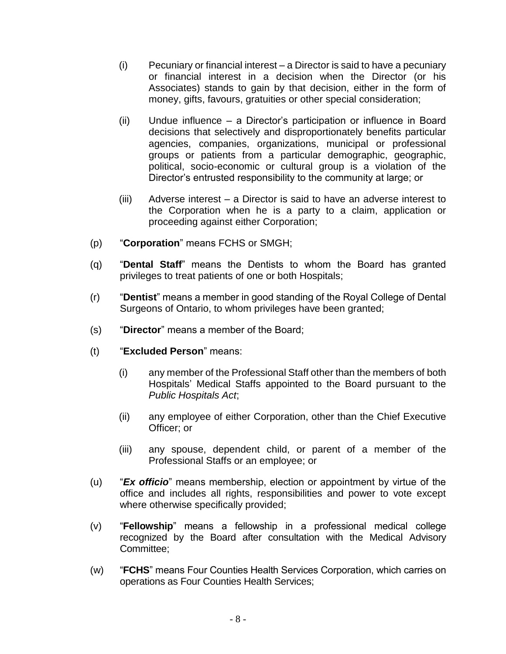- (i) Pecuniary or financial interest a Director is said to have a pecuniary or financial interest in a decision when the Director (or his Associates) stands to gain by that decision, either in the form of money, gifts, favours, gratuities or other special consideration;
- (ii) Undue influence a Director's participation or influence in Board decisions that selectively and disproportionately benefits particular agencies, companies, organizations, municipal or professional groups or patients from a particular demographic, geographic, political, socio-economic or cultural group is a violation of the Director's entrusted responsibility to the community at large; or
- (iii) Adverse interest a Director is said to have an adverse interest to the Corporation when he is a party to a claim, application or proceeding against either Corporation;
- (p) "**Corporation**" means FCHS or SMGH;
- (q) "**Dental Staff**" means the Dentists to whom the Board has granted privileges to treat patients of one or both Hospitals;
- (r) "**Dentist**" means a member in good standing of the Royal College of Dental Surgeons of Ontario, to whom privileges have been granted;
- (s) "**Director**" means a member of the Board;
- (t) "**Excluded Person**" means:
	- (i) any member of the Professional Staff other than the members of both Hospitals' Medical Staffs appointed to the Board pursuant to the *Public Hospitals Act*;
	- (ii) any employee of either Corporation, other than the Chief Executive Officer; or
	- (iii) any spouse, dependent child, or parent of a member of the Professional Staffs or an employee; or
- (u) "*Ex officio*" means membership, election or appointment by virtue of the office and includes all rights, responsibilities and power to vote except where otherwise specifically provided;
- (v) "**Fellowship**" means a fellowship in a professional medical college recognized by the Board after consultation with the Medical Advisory Committee;
- (w) "**FCHS**" means Four Counties Health Services Corporation, which carries on operations as Four Counties Health Services;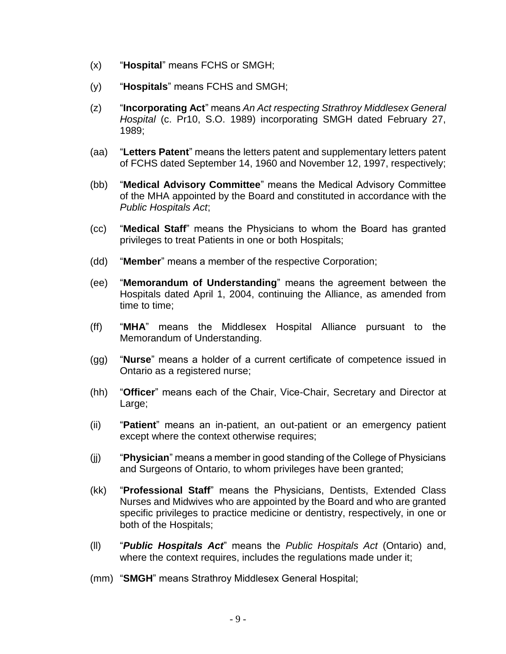- (x) "**Hospital**" means FCHS or SMGH;
- (y) "**Hospitals**" means FCHS and SMGH;
- (z) "**Incorporating Act**" means *An Act respecting Strathroy Middlesex General Hospital* (c. Pr10, S.O. 1989) incorporating SMGH dated February 27, 1989;
- (aa) "**Letters Patent**" means the letters patent and supplementary letters patent of FCHS dated September 14, 1960 and November 12, 1997, respectively;
- (bb) "**Medical Advisory Committee**" means the Medical Advisory Committee of the MHA appointed by the Board and constituted in accordance with the *Public Hospitals Act*;
- (cc) "**Medical Staff**" means the Physicians to whom the Board has granted privileges to treat Patients in one or both Hospitals;
- (dd) "**Member**" means a member of the respective Corporation;
- (ee) "**Memorandum of Understanding**" means the agreement between the Hospitals dated April 1, 2004, continuing the Alliance, as amended from time to time;
- (ff) "**MHA**" means the Middlesex Hospital Alliance pursuant to the Memorandum of Understanding.
- (gg) "**Nurse**" means a holder of a current certificate of competence issued in Ontario as a registered nurse;
- (hh) "**Officer**" means each of the Chair, Vice-Chair, Secretary and Director at Large;
- (ii) "**Patient**" means an in-patient, an out-patient or an emergency patient except where the context otherwise requires;
- (jj) "**Physician**" means a member in good standing of the College of Physicians and Surgeons of Ontario, to whom privileges have been granted;
- (kk) "**Professional Staff**" means the Physicians, Dentists, Extended Class Nurses and Midwives who are appointed by the Board and who are granted specific privileges to practice medicine or dentistry, respectively, in one or both of the Hospitals;
- (ll) "*Public Hospitals Act*" means the *Public Hospitals Act* (Ontario) and, where the context requires, includes the regulations made under it;
- (mm) "**SMGH**" means Strathroy Middlesex General Hospital;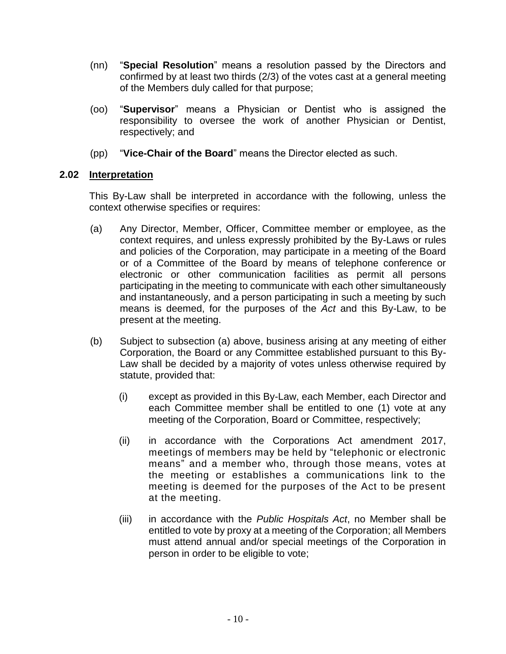- (nn) "**Special Resolution**" means a resolution passed by the Directors and confirmed by at least two thirds (2/3) of the votes cast at a general meeting of the Members duly called for that purpose;
- (oo) "**Supervisor**" means a Physician or Dentist who is assigned the responsibility to oversee the work of another Physician or Dentist, respectively; and
- (pp) "**Vice-Chair of the Board**" means the Director elected as such.

# <span id="page-9-0"></span>**2.02 Interpretation**

This By-Law shall be interpreted in accordance with the following, unless the context otherwise specifies or requires:

- (a) Any Director, Member, Officer, Committee member or employee, as the context requires, and unless expressly prohibited by the By-Laws or rules and policies of the Corporation, may participate in a meeting of the Board or of a Committee of the Board by means of telephone conference or electronic or other communication facilities as permit all persons participating in the meeting to communicate with each other simultaneously and instantaneously, and a person participating in such a meeting by such means is deemed, for the purposes of the *Act* and this By-Law, to be present at the meeting.
- (b) Subject to subsection (a) above, business arising at any meeting of either Corporation, the Board or any Committee established pursuant to this By-Law shall be decided by a majority of votes unless otherwise required by statute, provided that:
	- (i) except as provided in this By-Law, each Member, each Director and each Committee member shall be entitled to one (1) vote at any meeting of the Corporation, Board or Committee, respectively;
	- (ii) in accordance with the Corporations Act amendment 2017, meetings of members may be held by "telephonic or electronic means" and a member who, through those means, votes at the meeting or establishes a communications link to the meeting is deemed for the purposes of the Act to be present at the meeting.
	- (iii) in accordance with the *Public Hospitals Act*, no Member shall be entitled to vote by proxy at a meeting of the Corporation; all Members must attend annual and/or special meetings of the Corporation in person in order to be eligible to vote;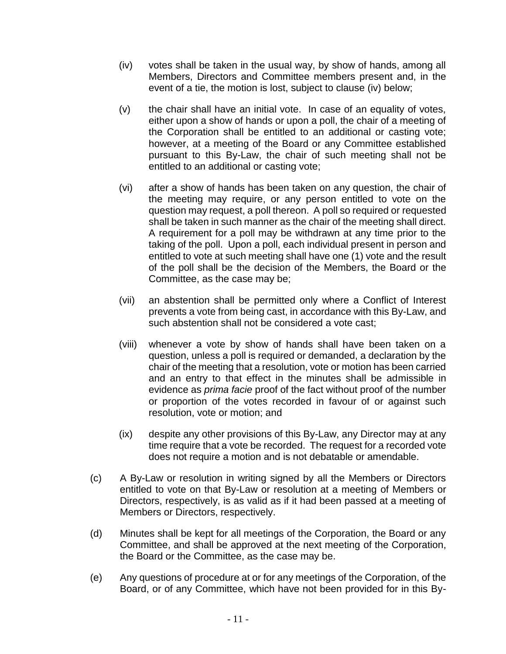- (iv) votes shall be taken in the usual way, by show of hands, among all Members, Directors and Committee members present and, in the event of a tie, the motion is lost, subject to clause (iv) below;
- (v) the chair shall have an initial vote. In case of an equality of votes, either upon a show of hands or upon a poll, the chair of a meeting of the Corporation shall be entitled to an additional or casting vote; however, at a meeting of the Board or any Committee established pursuant to this By-Law, the chair of such meeting shall not be entitled to an additional or casting vote;
- (vi) after a show of hands has been taken on any question, the chair of the meeting may require, or any person entitled to vote on the question may request, a poll thereon. A poll so required or requested shall be taken in such manner as the chair of the meeting shall direct. A requirement for a poll may be withdrawn at any time prior to the taking of the poll. Upon a poll, each individual present in person and entitled to vote at such meeting shall have one (1) vote and the result of the poll shall be the decision of the Members, the Board or the Committee, as the case may be;
- (vii) an abstention shall be permitted only where a Conflict of Interest prevents a vote from being cast, in accordance with this By-Law, and such abstention shall not be considered a vote cast;
- (viii) whenever a vote by show of hands shall have been taken on a question, unless a poll is required or demanded, a declaration by the chair of the meeting that a resolution, vote or motion has been carried and an entry to that effect in the minutes shall be admissible in evidence as *prima facie* proof of the fact without proof of the number or proportion of the votes recorded in favour of or against such resolution, vote or motion; and
- (ix) despite any other provisions of this By-Law, any Director may at any time require that a vote be recorded. The request for a recorded vote does not require a motion and is not debatable or amendable.
- (c) A By-Law or resolution in writing signed by all the Members or Directors entitled to vote on that By-Law or resolution at a meeting of Members or Directors, respectively, is as valid as if it had been passed at a meeting of Members or Directors, respectively.
- (d) Minutes shall be kept for all meetings of the Corporation, the Board or any Committee, and shall be approved at the next meeting of the Corporation, the Board or the Committee, as the case may be.
- (e) Any questions of procedure at or for any meetings of the Corporation, of the Board, or of any Committee, which have not been provided for in this By-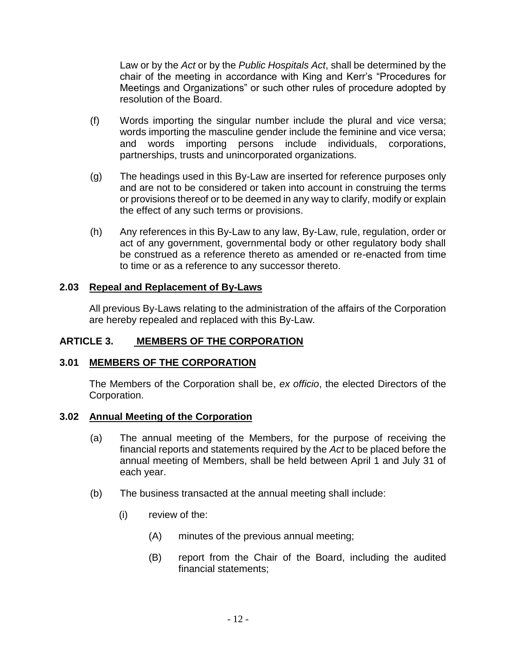Law or by the *Act* or by the *Public Hospitals Act*, shall be determined by the chair of the meeting in accordance with King and Kerr's "Procedures for Meetings and Organizations" or such other rules of procedure adopted by resolution of the Board.

- (f) Words importing the singular number include the plural and vice versa; words importing the masculine gender include the feminine and vice versa; and words importing persons include individuals, corporations, partnerships, trusts and unincorporated organizations.
- (g) The headings used in this By-Law are inserted for reference purposes only and are not to be considered or taken into account in construing the terms or provisions thereof or to be deemed in any way to clarify, modify or explain the effect of any such terms or provisions.
- (h) Any references in this By-Law to any law, By-Law, rule, regulation, order or act of any government, governmental body or other regulatory body shall be construed as a reference thereto as amended or re-enacted from time to time or as a reference to any successor thereto.

#### <span id="page-11-0"></span>**2.03 Repeal and Replacement of By-Laws**

<span id="page-11-1"></span>All previous By-Laws relating to the administration of the affairs of the Corporation are hereby repealed and replaced with this By-Law.

# **ARTICLE 3. MEMBERS OF THE CORPORATION**

#### <span id="page-11-2"></span>**3.01 MEMBERS OF THE CORPORATION**

The Members of the Corporation shall be, *ex officio*, the elected Directors of the Corporation.

#### <span id="page-11-3"></span>**3.02 Annual Meeting of the Corporation**

- (a) The annual meeting of the Members, for the purpose of receiving the financial reports and statements required by the *Act* to be placed before the annual meeting of Members, shall be held between April 1 and July 31 of each year.
- (b) The business transacted at the annual meeting shall include:
	- (i) review of the:
		- (A) minutes of the previous annual meeting;
		- (B) report from the Chair of the Board, including the audited financial statements;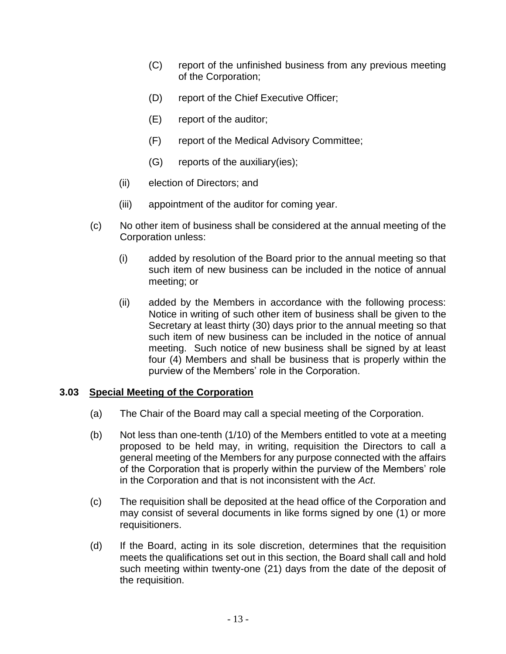- (C) report of the unfinished business from any previous meeting of the Corporation;
- (D) report of the Chief Executive Officer;
- (E) report of the auditor;
- (F) report of the Medical Advisory Committee;
- (G) reports of the auxiliary(ies);
- (ii) election of Directors; and
- (iii) appointment of the auditor for coming year.
- (c) No other item of business shall be considered at the annual meeting of the Corporation unless:
	- (i) added by resolution of the Board prior to the annual meeting so that such item of new business can be included in the notice of annual meeting; or
	- (ii) added by the Members in accordance with the following process: Notice in writing of such other item of business shall be given to the Secretary at least thirty (30) days prior to the annual meeting so that such item of new business can be included in the notice of annual meeting. Such notice of new business shall be signed by at least four (4) Members and shall be business that is properly within the purview of the Members' role in the Corporation.

#### <span id="page-12-0"></span>**3.03 Special Meeting of the Corporation**

- (a) The Chair of the Board may call a special meeting of the Corporation.
- (b) Not less than one-tenth (1/10) of the Members entitled to vote at a meeting proposed to be held may, in writing, requisition the Directors to call a general meeting of the Members for any purpose connected with the affairs of the Corporation that is properly within the purview of the Members' role in the Corporation and that is not inconsistent with the *Act*.
- (c) The requisition shall be deposited at the head office of the Corporation and may consist of several documents in like forms signed by one (1) or more requisitioners.
- (d) If the Board, acting in its sole discretion, determines that the requisition meets the qualifications set out in this section, the Board shall call and hold such meeting within twenty-one (21) days from the date of the deposit of the requisition.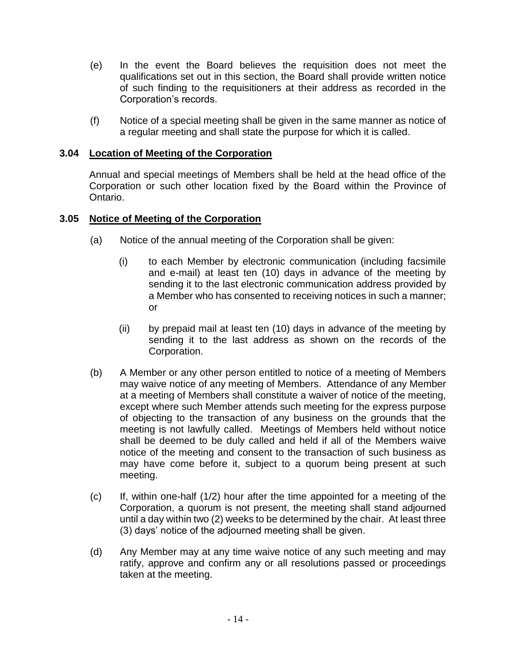- (e) In the event the Board believes the requisition does not meet the qualifications set out in this section, the Board shall provide written notice of such finding to the requisitioners at their address as recorded in the Corporation's records.
- (f) Notice of a special meeting shall be given in the same manner as notice of a regular meeting and shall state the purpose for which it is called.

# <span id="page-13-0"></span>**3.04 Location of Meeting of the Corporation**

Annual and special meetings of Members shall be held at the head office of the Corporation or such other location fixed by the Board within the Province of Ontario.

#### <span id="page-13-1"></span>**3.05 Notice of Meeting of the Corporation**

- (a) Notice of the annual meeting of the Corporation shall be given:
	- (i) to each Member by electronic communication (including facsimile and e-mail) at least ten (10) days in advance of the meeting by sending it to the last electronic communication address provided by a Member who has consented to receiving notices in such a manner; or
	- (ii) by prepaid mail at least ten (10) days in advance of the meeting by sending it to the last address as shown on the records of the Corporation.
- (b) A Member or any other person entitled to notice of a meeting of Members may waive notice of any meeting of Members. Attendance of any Member at a meeting of Members shall constitute a waiver of notice of the meeting, except where such Member attends such meeting for the express purpose of objecting to the transaction of any business on the grounds that the meeting is not lawfully called. Meetings of Members held without notice shall be deemed to be duly called and held if all of the Members waive notice of the meeting and consent to the transaction of such business as may have come before it, subject to a quorum being present at such meeting.
- (c) If, within one-half (1/2) hour after the time appointed for a meeting of the Corporation, a quorum is not present, the meeting shall stand adjourned until a day within two (2) weeks to be determined by the chair. At least three (3) days' notice of the adjourned meeting shall be given.
- (d) Any Member may at any time waive notice of any such meeting and may ratify, approve and confirm any or all resolutions passed or proceedings taken at the meeting.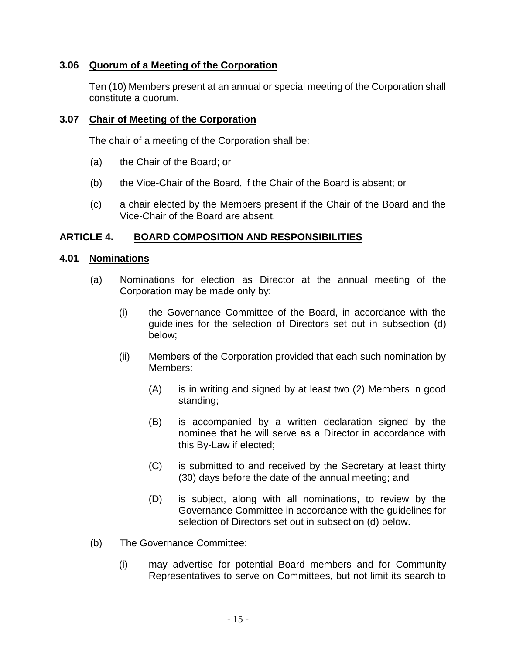# <span id="page-14-0"></span>**3.06 Quorum of a Meeting of the Corporation**

Ten (10) Members present at an annual or special meeting of the Corporation shall constitute a quorum.

### <span id="page-14-1"></span>**3.07 Chair of Meeting of the Corporation**

The chair of a meeting of the Corporation shall be:

- (a) the Chair of the Board; or
- (b) the Vice-Chair of the Board, if the Chair of the Board is absent; or
- (c) a chair elected by the Members present if the Chair of the Board and the Vice-Chair of the Board are absent.

# <span id="page-14-2"></span>**ARTICLE 4. BOARD COMPOSITION AND RESPONSIBILITIES**

#### <span id="page-14-3"></span>**4.01 Nominations**

- (a) Nominations for election as Director at the annual meeting of the Corporation may be made only by:
	- (i) the Governance Committee of the Board, in accordance with the guidelines for the selection of Directors set out in subsection (d) below;
	- (ii) Members of the Corporation provided that each such nomination by Members:
		- (A) is in writing and signed by at least two (2) Members in good standing;
		- (B) is accompanied by a written declaration signed by the nominee that he will serve as a Director in accordance with this By-Law if elected;
		- (C) is submitted to and received by the Secretary at least thirty (30) days before the date of the annual meeting; and
		- (D) is subject, along with all nominations, to review by the Governance Committee in accordance with the guidelines for selection of Directors set out in subsection (d) below.
- (b) The Governance Committee:
	- (i) may advertise for potential Board members and for Community Representatives to serve on Committees, but not limit its search to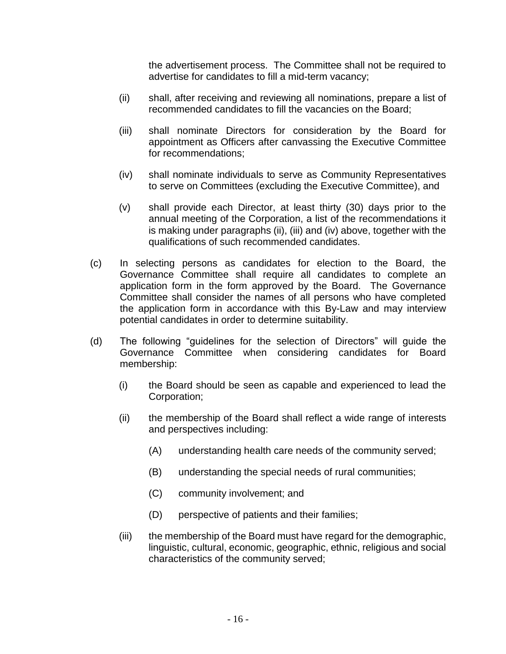the advertisement process. The Committee shall not be required to advertise for candidates to fill a mid-term vacancy;

- (ii) shall, after receiving and reviewing all nominations, prepare a list of recommended candidates to fill the vacancies on the Board;
- (iii) shall nominate Directors for consideration by the Board for appointment as Officers after canvassing the Executive Committee for recommendations;
- (iv) shall nominate individuals to serve as Community Representatives to serve on Committees (excluding the Executive Committee), and
- (v) shall provide each Director, at least thirty (30) days prior to the annual meeting of the Corporation, a list of the recommendations it is making under paragraphs (ii), (iii) and (iv) above, together with the qualifications of such recommended candidates.
- (c) In selecting persons as candidates for election to the Board, the Governance Committee shall require all candidates to complete an application form in the form approved by the Board. The Governance Committee shall consider the names of all persons who have completed the application form in accordance with this By-Law and may interview potential candidates in order to determine suitability.
- (d) The following "guidelines for the selection of Directors" will guide the Governance Committee when considering candidates for Board membership:
	- (i) the Board should be seen as capable and experienced to lead the Corporation;
	- (ii) the membership of the Board shall reflect a wide range of interests and perspectives including:
		- (A) understanding health care needs of the community served;
		- (B) understanding the special needs of rural communities;
		- (C) community involvement; and
		- (D) perspective of patients and their families;
	- (iii) the membership of the Board must have regard for the demographic, linguistic, cultural, economic, geographic, ethnic, religious and social characteristics of the community served;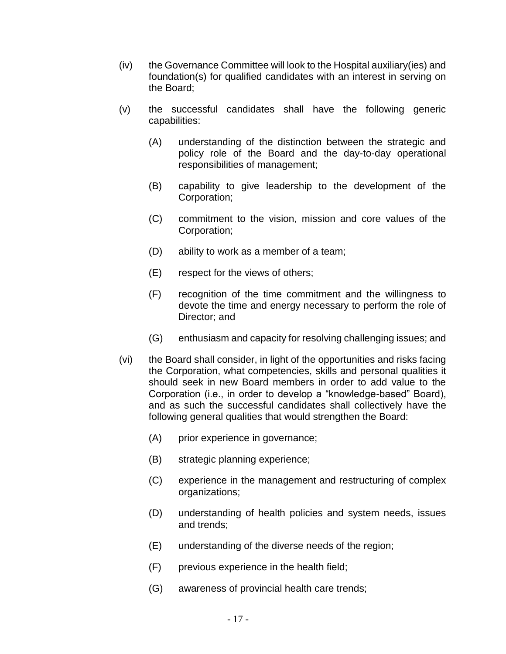- (iv) the Governance Committee will look to the Hospital auxiliary(ies) and foundation(s) for qualified candidates with an interest in serving on the Board;
- <span id="page-16-0"></span>(v) the successful candidates shall have the following generic capabilities:
	- (A) understanding of the distinction between the strategic and policy role of the Board and the day-to-day operational responsibilities of management;
	- (B) capability to give leadership to the development of the Corporation;
	- (C) commitment to the vision, mission and core values of the Corporation;
	- (D) ability to work as a member of a team;
	- (E) respect for the views of others;
	- (F) recognition of the time commitment and the willingness to devote the time and energy necessary to perform the role of Director; and
	- (G) enthusiasm and capacity for resolving challenging issues; and
- <span id="page-16-1"></span>(vi) the Board shall consider, in light of the opportunities and risks facing the Corporation, what competencies, skills and personal qualities it should seek in new Board members in order to add value to the Corporation (i.e., in order to develop a "knowledge-based" Board), and as such the successful candidates shall collectively have the following general qualities that would strengthen the Board:
	- (A) prior experience in governance;
	- (B) strategic planning experience;
	- (C) experience in the management and restructuring of complex organizations;
	- (D) understanding of health policies and system needs, issues and trends;
	- (E) understanding of the diverse needs of the region;
	- (F) previous experience in the health field;
	- (G) awareness of provincial health care trends;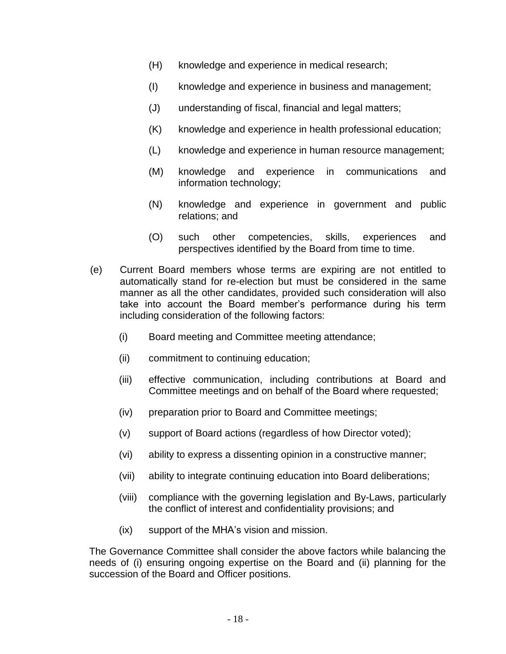- (H) knowledge and experience in medical research;
- (I) knowledge and experience in business and management;
- (J) understanding of fiscal, financial and legal matters;
- (K) knowledge and experience in health professional education;
- (L) knowledge and experience in human resource management;
- (M) knowledge and experience in communications and information technology;
- (N) knowledge and experience in government and public relations; and
- (O) such other competencies, skills, experiences and perspectives identified by the Board from time to time.
- (e) Current Board members whose terms are expiring are not entitled to automatically stand for re-election but must be considered in the same manner as all the other candidates, provided such consideration will also take into account the Board member's performance during his term including consideration of the following factors:
	- (i) Board meeting and Committee meeting attendance;
	- (ii) commitment to continuing education;
	- (iii) effective communication, including contributions at Board and Committee meetings and on behalf of the Board where requested;
	- (iv) preparation prior to Board and Committee meetings;
	- (v) support of Board actions (regardless of how Director voted);
	- (vi) ability to express a dissenting opinion in a constructive manner;
	- (vii) ability to integrate continuing education into Board deliberations;
	- (viii) compliance with the governing legislation and By-Laws, particularly the conflict of interest and confidentiality provisions; and
	- (ix) support of the MHA's vision and mission.

The Governance Committee shall consider the above factors while balancing the needs of (i) ensuring ongoing expertise on the Board and (ii) planning for the succession of the Board and Officer positions.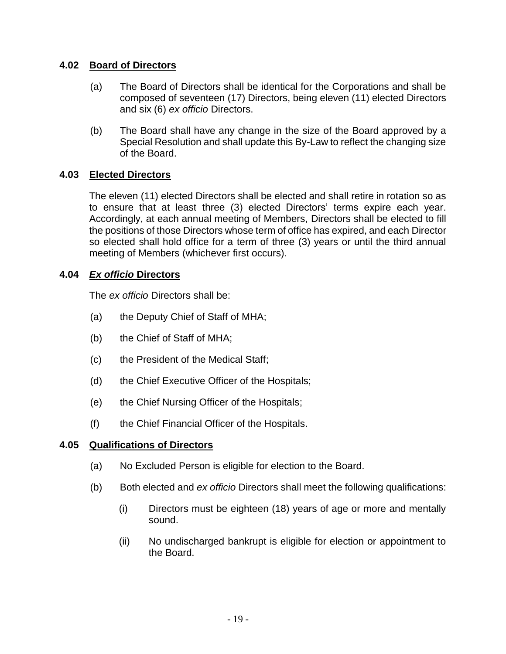# <span id="page-18-0"></span>**4.02 Board of Directors**

- (a) The Board of Directors shall be identical for the Corporations and shall be composed of seventeen (17) Directors, being eleven (11) elected Directors and six (6) *ex officio* Directors.
- (b) The Board shall have any change in the size of the Board approved by a Special Resolution and shall update this By-Law to reflect the changing size of the Board.

# <span id="page-18-1"></span>**4.03 Elected Directors**

The eleven (11) elected Directors shall be elected and shall retire in rotation so as to ensure that at least three (3) elected Directors' terms expire each year. Accordingly, at each annual meeting of Members, Directors shall be elected to fill the positions of those Directors whose term of office has expired, and each Director so elected shall hold office for a term of three (3) years or until the third annual meeting of Members (whichever first occurs).

# <span id="page-18-2"></span>**4.04** *Ex officio* **Directors**

The *ex officio* Directors shall be:

- (a) the Deputy Chief of Staff of MHA;
- (b) the Chief of Staff of MHA;
- (c) the President of the Medical Staff;
- (d) the Chief Executive Officer of the Hospitals;
- (e) the Chief Nursing Officer of the Hospitals;
- (f) the Chief Financial Officer of the Hospitals.

# <span id="page-18-3"></span>**4.05 Qualifications of Directors**

- (a) No Excluded Person is eligible for election to the Board.
- (b) Both elected and *ex officio* Directors shall meet the following qualifications:
	- (i) Directors must be eighteen (18) years of age or more and mentally sound.
	- (ii) No undischarged bankrupt is eligible for election or appointment to the Board.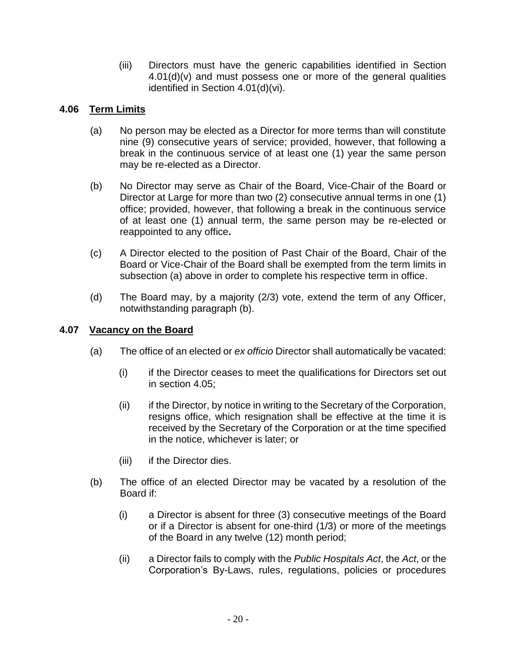(iii) Directors must have the generic capabilities identified in Section  $4.01(d)(v)$  and must possess one or more of the general qualities identified in Section [4.01\(d\)\(vi\).](#page-16-1)

# <span id="page-19-0"></span>**4.06 Term Limits**

- (a) No person may be elected as a Director for more terms than will constitute nine (9) consecutive years of service; provided, however, that following a break in the continuous service of at least one (1) year the same person may be re-elected as a Director.
- (b) No Director may serve as Chair of the Board, Vice-Chair of the Board or Director at Large for more than two (2) consecutive annual terms in one (1) office; provided, however, that following a break in the continuous service of at least one (1) annual term, the same person may be re-elected or reappointed to any office**.**
- (c) A Director elected to the position of Past Chair of the Board, Chair of the Board or Vice-Chair of the Board shall be exempted from the term limits in subsection (a) above in order to complete his respective term in office.
- (d) The Board may, by a majority (2/3) vote, extend the term of any Officer, notwithstanding paragraph (b).

# <span id="page-19-1"></span>**4.07 Vacancy on the Board**

- (a) The office of an elected or *ex officio* Director shall automatically be vacated:
	- (i) if the Director ceases to meet the qualifications for Directors set out in section [4.05;](#page-18-3)
	- (ii) if the Director, by notice in writing to the Secretary of the Corporation, resigns office, which resignation shall be effective at the time it is received by the Secretary of the Corporation or at the time specified in the notice, whichever is later; or
	- (iii) if the Director dies.
- (b) The office of an elected Director may be vacated by a resolution of the Board if:
	- (i) a Director is absent for three (3) consecutive meetings of the Board or if a Director is absent for one-third (1/3) or more of the meetings of the Board in any twelve (12) month period;
	- (ii) a Director fails to comply with the *Public Hospitals Act*, the *Act*, or the Corporation's By-Laws, rules, regulations, policies or procedures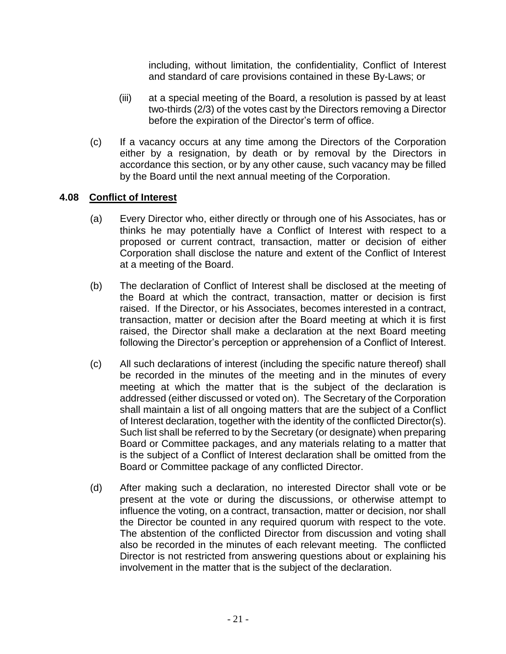including, without limitation, the confidentiality, Conflict of Interest and standard of care provisions contained in these By-Laws; or

- (iii) at a special meeting of the Board, a resolution is passed by at least two-thirds (2/3) of the votes cast by the Directors removing a Director before the expiration of the Director's term of office.
- (c) If a vacancy occurs at any time among the Directors of the Corporation either by a resignation, by death or by removal by the Directors in accordance this section, or by any other cause, such vacancy may be filled by the Board until the next annual meeting of the Corporation.

#### <span id="page-20-0"></span>**4.08 Conflict of Interest**

- (a) Every Director who, either directly or through one of his Associates, has or thinks he may potentially have a Conflict of Interest with respect to a proposed or current contract, transaction, matter or decision of either Corporation shall disclose the nature and extent of the Conflict of Interest at a meeting of the Board.
- (b) The declaration of Conflict of Interest shall be disclosed at the meeting of the Board at which the contract, transaction, matter or decision is first raised. If the Director, or his Associates, becomes interested in a contract, transaction, matter or decision after the Board meeting at which it is first raised, the Director shall make a declaration at the next Board meeting following the Director's perception or apprehension of a Conflict of Interest.
- (c) All such declarations of interest (including the specific nature thereof) shall be recorded in the minutes of the meeting and in the minutes of every meeting at which the matter that is the subject of the declaration is addressed (either discussed or voted on). The Secretary of the Corporation shall maintain a list of all ongoing matters that are the subject of a Conflict of Interest declaration, together with the identity of the conflicted Director(s). Such list shall be referred to by the Secretary (or designate) when preparing Board or Committee packages, and any materials relating to a matter that is the subject of a Conflict of Interest declaration shall be omitted from the Board or Committee package of any conflicted Director.
- (d) After making such a declaration, no interested Director shall vote or be present at the vote or during the discussions, or otherwise attempt to influence the voting, on a contract, transaction, matter or decision, nor shall the Director be counted in any required quorum with respect to the vote. The abstention of the conflicted Director from discussion and voting shall also be recorded in the minutes of each relevant meeting. The conflicted Director is not restricted from answering questions about or explaining his involvement in the matter that is the subject of the declaration.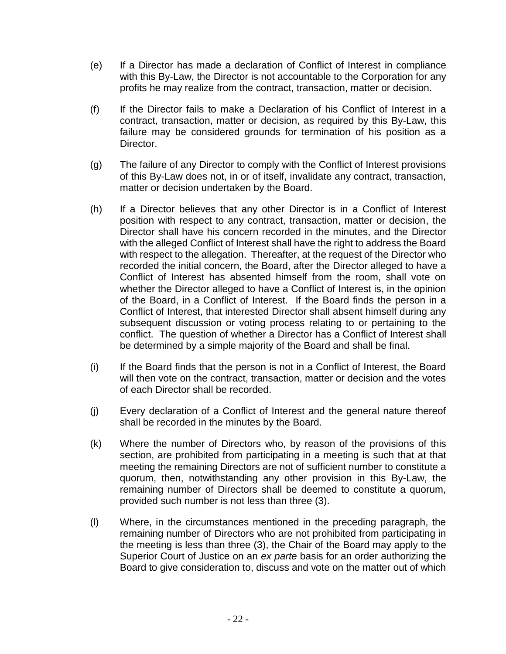- (e) If a Director has made a declaration of Conflict of Interest in compliance with this By-Law, the Director is not accountable to the Corporation for any profits he may realize from the contract, transaction, matter or decision.
- (f) If the Director fails to make a Declaration of his Conflict of Interest in a contract, transaction, matter or decision, as required by this By-Law, this failure may be considered grounds for termination of his position as a Director.
- (g) The failure of any Director to comply with the Conflict of Interest provisions of this By-Law does not, in or of itself, invalidate any contract, transaction, matter or decision undertaken by the Board.
- (h) If a Director believes that any other Director is in a Conflict of Interest position with respect to any contract, transaction, matter or decision, the Director shall have his concern recorded in the minutes, and the Director with the alleged Conflict of Interest shall have the right to address the Board with respect to the allegation. Thereafter, at the request of the Director who recorded the initial concern, the Board, after the Director alleged to have a Conflict of Interest has absented himself from the room, shall vote on whether the Director alleged to have a Conflict of Interest is, in the opinion of the Board, in a Conflict of Interest. If the Board finds the person in a Conflict of Interest, that interested Director shall absent himself during any subsequent discussion or voting process relating to or pertaining to the conflict. The question of whether a Director has a Conflict of Interest shall be determined by a simple majority of the Board and shall be final.
- (i) If the Board finds that the person is not in a Conflict of Interest, the Board will then vote on the contract, transaction, matter or decision and the votes of each Director shall be recorded.
- (j) Every declaration of a Conflict of Interest and the general nature thereof shall be recorded in the minutes by the Board.
- (k) Where the number of Directors who, by reason of the provisions of this section, are prohibited from participating in a meeting is such that at that meeting the remaining Directors are not of sufficient number to constitute a quorum, then, notwithstanding any other provision in this By-Law, the remaining number of Directors shall be deemed to constitute a quorum, provided such number is not less than three (3).
- (l) Where, in the circumstances mentioned in the preceding paragraph, the remaining number of Directors who are not prohibited from participating in the meeting is less than three (3), the Chair of the Board may apply to the Superior Court of Justice on an *ex parte* basis for an order authorizing the Board to give consideration to, discuss and vote on the matter out of which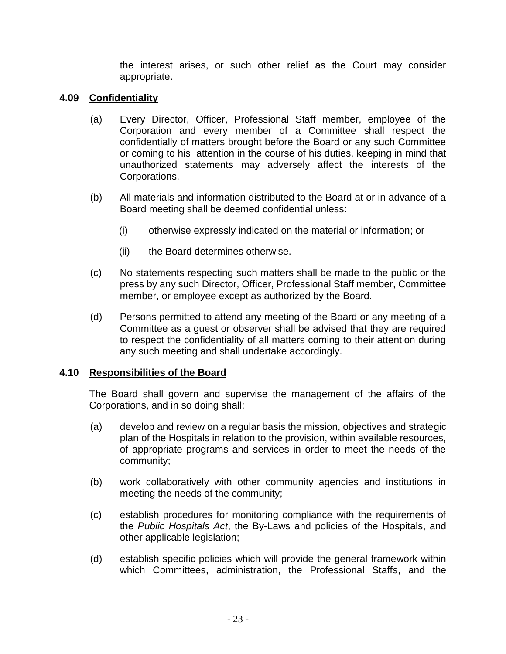the interest arises, or such other relief as the Court may consider appropriate.

# <span id="page-22-0"></span>**4.09 Confidentiality**

- (a) Every Director, Officer, Professional Staff member, employee of the Corporation and every member of a Committee shall respect the confidentially of matters brought before the Board or any such Committee or coming to his attention in the course of his duties, keeping in mind that unauthorized statements may adversely affect the interests of the Corporations.
- (b) All materials and information distributed to the Board at or in advance of a Board meeting shall be deemed confidential unless:
	- (i) otherwise expressly indicated on the material or information; or
	- (ii) the Board determines otherwise.
- (c) No statements respecting such matters shall be made to the public or the press by any such Director, Officer, Professional Staff member, Committee member, or employee except as authorized by the Board.
- (d) Persons permitted to attend any meeting of the Board or any meeting of a Committee as a guest or observer shall be advised that they are required to respect the confidentiality of all matters coming to their attention during any such meeting and shall undertake accordingly.

#### <span id="page-22-1"></span>**4.10 Responsibilities of the Board**

The Board shall govern and supervise the management of the affairs of the Corporations, and in so doing shall:

- (a) develop and review on a regular basis the mission, objectives and strategic plan of the Hospitals in relation to the provision, within available resources, of appropriate programs and services in order to meet the needs of the community;
- (b) work collaboratively with other community agencies and institutions in meeting the needs of the community;
- (c) establish procedures for monitoring compliance with the requirements of the *Public Hospitals Act*, the By-Laws and policies of the Hospitals, and other applicable legislation;
- (d) establish specific policies which will provide the general framework within which Committees, administration, the Professional Staffs, and the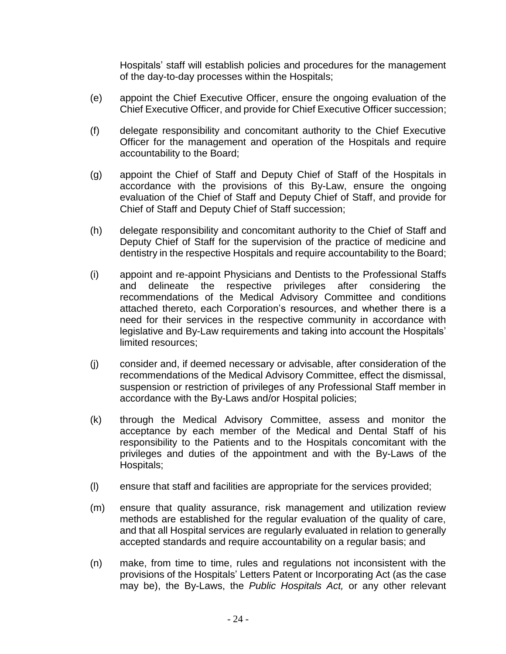Hospitals' staff will establish policies and procedures for the management of the day-to-day processes within the Hospitals;

- (e) appoint the Chief Executive Officer, ensure the ongoing evaluation of the Chief Executive Officer, and provide for Chief Executive Officer succession;
- (f) delegate responsibility and concomitant authority to the Chief Executive Officer for the management and operation of the Hospitals and require accountability to the Board;
- (g) appoint the Chief of Staff and Deputy Chief of Staff of the Hospitals in accordance with the provisions of this By-Law, ensure the ongoing evaluation of the Chief of Staff and Deputy Chief of Staff, and provide for Chief of Staff and Deputy Chief of Staff succession;
- (h) delegate responsibility and concomitant authority to the Chief of Staff and Deputy Chief of Staff for the supervision of the practice of medicine and dentistry in the respective Hospitals and require accountability to the Board;
- (i) appoint and re-appoint Physicians and Dentists to the Professional Staffs and delineate the respective privileges after considering the recommendations of the Medical Advisory Committee and conditions attached thereto, each Corporation's resources, and whether there is a need for their services in the respective community in accordance with legislative and By-Law requirements and taking into account the Hospitals' limited resources;
- (j) consider and, if deemed necessary or advisable, after consideration of the recommendations of the Medical Advisory Committee, effect the dismissal, suspension or restriction of privileges of any Professional Staff member in accordance with the By-Laws and/or Hospital policies;
- (k) through the Medical Advisory Committee, assess and monitor the acceptance by each member of the Medical and Dental Staff of his responsibility to the Patients and to the Hospitals concomitant with the privileges and duties of the appointment and with the By-Laws of the Hospitals;
- (l) ensure that staff and facilities are appropriate for the services provided;
- (m) ensure that quality assurance, risk management and utilization review methods are established for the regular evaluation of the quality of care, and that all Hospital services are regularly evaluated in relation to generally accepted standards and require accountability on a regular basis; and
- (n) make, from time to time, rules and regulations not inconsistent with the provisions of the Hospitals' Letters Patent or Incorporating Act (as the case may be), the By-Laws, the *Public Hospitals Act,* or any other relevant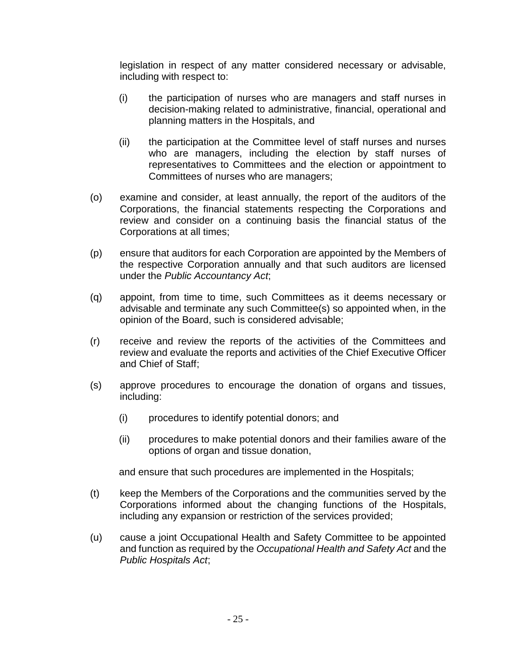legislation in respect of any matter considered necessary or advisable, including with respect to:

- (i) the participation of nurses who are managers and staff nurses in decision-making related to administrative, financial, operational and planning matters in the Hospitals, and
- (ii) the participation at the Committee level of staff nurses and nurses who are managers, including the election by staff nurses of representatives to Committees and the election or appointment to Committees of nurses who are managers;
- (o) examine and consider, at least annually, the report of the auditors of the Corporations, the financial statements respecting the Corporations and review and consider on a continuing basis the financial status of the Corporations at all times;
- (p) ensure that auditors for each Corporation are appointed by the Members of the respective Corporation annually and that such auditors are licensed under the *Public Accountancy Act*;
- (q) appoint, from time to time, such Committees as it deems necessary or advisable and terminate any such Committee(s) so appointed when, in the opinion of the Board, such is considered advisable;
- (r) receive and review the reports of the activities of the Committees and review and evaluate the reports and activities of the Chief Executive Officer and Chief of Staff;
- (s) approve procedures to encourage the donation of organs and tissues, including:
	- (i) procedures to identify potential donors; and
	- (ii) procedures to make potential donors and their families aware of the options of organ and tissue donation,

and ensure that such procedures are implemented in the Hospitals;

- (t) keep the Members of the Corporations and the communities served by the Corporations informed about the changing functions of the Hospitals, including any expansion or restriction of the services provided;
- (u) cause a joint Occupational Health and Safety Committee to be appointed and function as required by the *Occupational Health and Safety Act* and the *Public Hospitals Act*;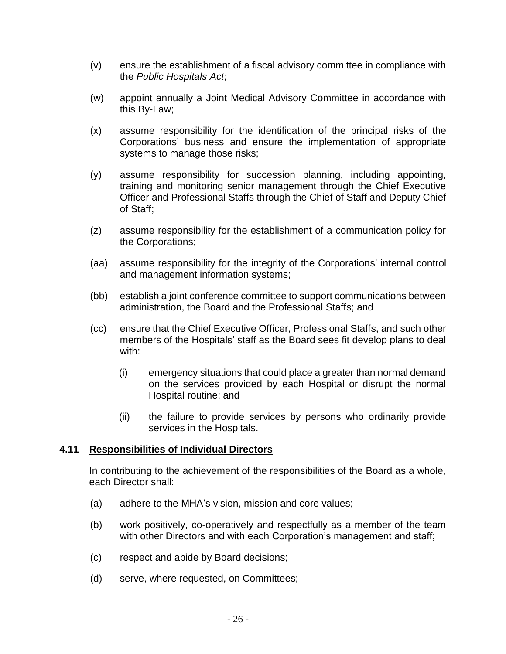- (v) ensure the establishment of a fiscal advisory committee in compliance with the *Public Hospitals Act*;
- (w) appoint annually a Joint Medical Advisory Committee in accordance with this By-Law;
- (x) assume responsibility for the identification of the principal risks of the Corporations' business and ensure the implementation of appropriate systems to manage those risks;
- (y) assume responsibility for succession planning, including appointing, training and monitoring senior management through the Chief Executive Officer and Professional Staffs through the Chief of Staff and Deputy Chief of Staff;
- (z) assume responsibility for the establishment of a communication policy for the Corporations;
- (aa) assume responsibility for the integrity of the Corporations' internal control and management information systems;
- (bb) establish a joint conference committee to support communications between administration, the Board and the Professional Staffs; and
- (cc) ensure that the Chief Executive Officer, Professional Staffs, and such other members of the Hospitals' staff as the Board sees fit develop plans to deal with:
	- (i) emergency situations that could place a greater than normal demand on the services provided by each Hospital or disrupt the normal Hospital routine; and
	- (ii) the failure to provide services by persons who ordinarily provide services in the Hospitals.

#### <span id="page-25-0"></span>**4.11 Responsibilities of Individual Directors**

In contributing to the achievement of the responsibilities of the Board as a whole, each Director shall:

- (a) adhere to the MHA's vision, mission and core values;
- (b) work positively, co-operatively and respectfully as a member of the team with other Directors and with each Corporation's management and staff;
- (c) respect and abide by Board decisions;
- (d) serve, where requested, on Committees;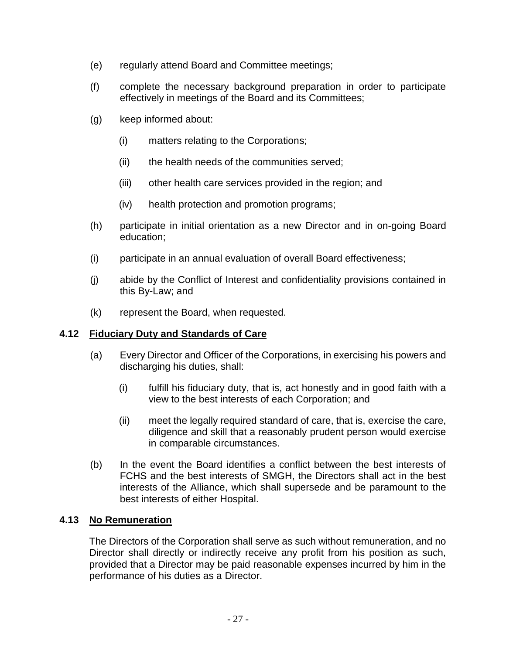- (e) regularly attend Board and Committee meetings;
- (f) complete the necessary background preparation in order to participate effectively in meetings of the Board and its Committees;
- (g) keep informed about:
	- (i) matters relating to the Corporations;
	- (ii) the health needs of the communities served;
	- (iii) other health care services provided in the region; and
	- (iv) health protection and promotion programs;
- (h) participate in initial orientation as a new Director and in on-going Board education;
- (i) participate in an annual evaluation of overall Board effectiveness;
- (j) abide by the Conflict of Interest and confidentiality provisions contained in this By-Law; and
- (k) represent the Board, when requested.

#### <span id="page-26-0"></span>**4.12 Fiduciary Duty and Standards of Care**

- (a) Every Director and Officer of the Corporations, in exercising his powers and discharging his duties, shall:
	- (i) fulfill his fiduciary duty, that is, act honestly and in good faith with a view to the best interests of each Corporation; and
	- (ii) meet the legally required standard of care, that is, exercise the care, diligence and skill that a reasonably prudent person would exercise in comparable circumstances.
- (b) In the event the Board identifies a conflict between the best interests of FCHS and the best interests of SMGH, the Directors shall act in the best interests of the Alliance, which shall supersede and be paramount to the best interests of either Hospital.

# <span id="page-26-1"></span>**4.13 No Remuneration**

The Directors of the Corporation shall serve as such without remuneration, and no Director shall directly or indirectly receive any profit from his position as such, provided that a Director may be paid reasonable expenses incurred by him in the performance of his duties as a Director.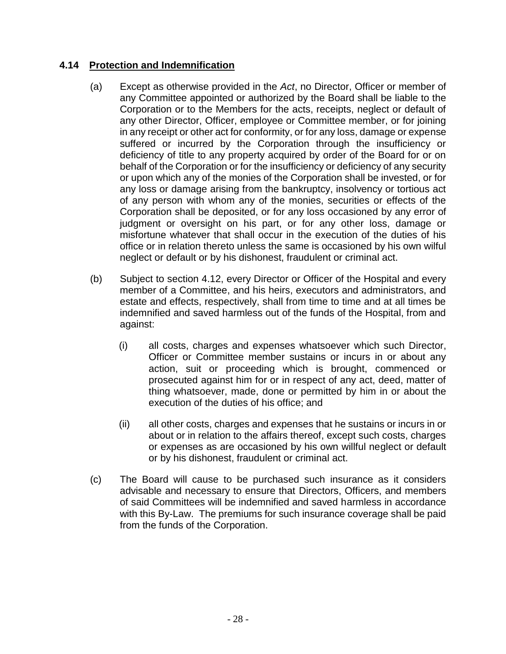# <span id="page-27-0"></span>**4.14 Protection and Indemnification**

- (a) Except as otherwise provided in the *Act*, no Director, Officer or member of any Committee appointed or authorized by the Board shall be liable to the Corporation or to the Members for the acts, receipts, neglect or default of any other Director, Officer, employee or Committee member, or for joining in any receipt or other act for conformity, or for any loss, damage or expense suffered or incurred by the Corporation through the insufficiency or deficiency of title to any property acquired by order of the Board for or on behalf of the Corporation or for the insufficiency or deficiency of any security or upon which any of the monies of the Corporation shall be invested, or for any loss or damage arising from the bankruptcy, insolvency or tortious act of any person with whom any of the monies, securities or effects of the Corporation shall be deposited, or for any loss occasioned by any error of judgment or oversight on his part, or for any other loss, damage or misfortune whatever that shall occur in the execution of the duties of his office or in relation thereto unless the same is occasioned by his own wilful neglect or default or by his dishonest, fraudulent or criminal act.
- (b) Subject to section [4.12,](#page-26-0) every Director or Officer of the Hospital and every member of a Committee, and his heirs, executors and administrators, and estate and effects, respectively, shall from time to time and at all times be indemnified and saved harmless out of the funds of the Hospital, from and against:
	- (i) all costs, charges and expenses whatsoever which such Director, Officer or Committee member sustains or incurs in or about any action, suit or proceeding which is brought, commenced or prosecuted against him for or in respect of any act, deed, matter of thing whatsoever, made, done or permitted by him in or about the execution of the duties of his office; and
	- (ii) all other costs, charges and expenses that he sustains or incurs in or about or in relation to the affairs thereof, except such costs, charges or expenses as are occasioned by his own willful neglect or default or by his dishonest, fraudulent or criminal act.
- (c) The Board will cause to be purchased such insurance as it considers advisable and necessary to ensure that Directors, Officers, and members of said Committees will be indemnified and saved harmless in accordance with this By-Law. The premiums for such insurance coverage shall be paid from the funds of the Corporation.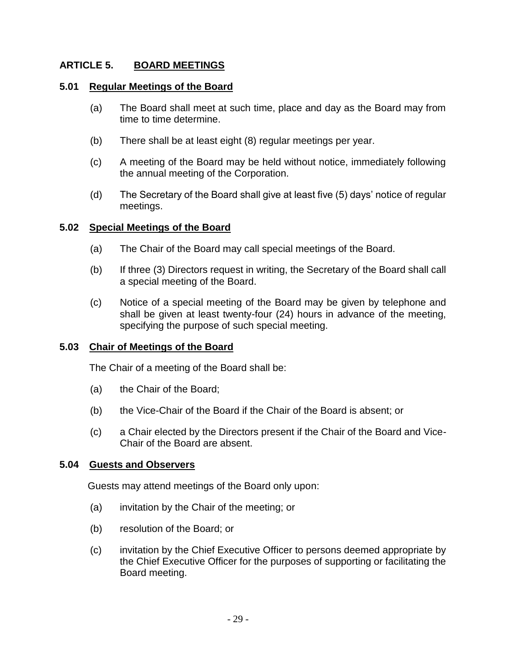# <span id="page-28-0"></span>**ARTICLE 5. BOARD MEETINGS**

#### <span id="page-28-1"></span>**5.01 Regular Meetings of the Board**

- (a) The Board shall meet at such time, place and day as the Board may from time to time determine.
- (b) There shall be at least eight (8) regular meetings per year.
- (c) A meeting of the Board may be held without notice, immediately following the annual meeting of the Corporation.
- (d) The Secretary of the Board shall give at least five (5) days' notice of regular meetings.

#### <span id="page-28-2"></span>**5.02 Special Meetings of the Board**

- (a) The Chair of the Board may call special meetings of the Board.
- (b) If three (3) Directors request in writing, the Secretary of the Board shall call a special meeting of the Board.
- (c) Notice of a special meeting of the Board may be given by telephone and shall be given at least twenty-four (24) hours in advance of the meeting, specifying the purpose of such special meeting.

#### <span id="page-28-3"></span>**5.03 Chair of Meetings of the Board**

The Chair of a meeting of the Board shall be:

- (a) the Chair of the Board;
- (b) the Vice-Chair of the Board if the Chair of the Board is absent; or
- (c) a Chair elected by the Directors present if the Chair of the Board and Vice-Chair of the Board are absent.

#### <span id="page-28-4"></span>**5.04 Guests and Observers**

Guests may attend meetings of the Board only upon:

- (a) invitation by the Chair of the meeting; or
- (b) resolution of the Board; or
- (c) invitation by the Chief Executive Officer to persons deemed appropriate by the Chief Executive Officer for the purposes of supporting or facilitating the Board meeting.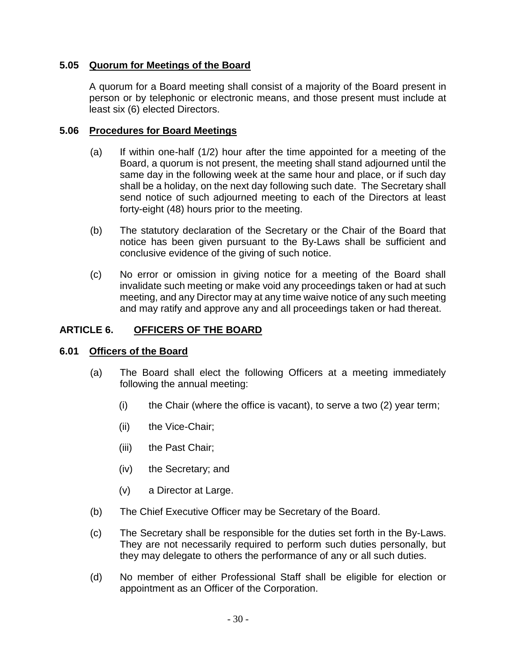# <span id="page-29-0"></span>**5.05 Quorum for Meetings of the Board**

A quorum for a Board meeting shall consist of a majority of the Board present in person or by telephonic or electronic means, and those present must include at least six (6) elected Directors.

### <span id="page-29-1"></span>**5.06 Procedures for Board Meetings**

- (a) If within one-half (1/2) hour after the time appointed for a meeting of the Board, a quorum is not present, the meeting shall stand adjourned until the same day in the following week at the same hour and place, or if such day shall be a holiday, on the next day following such date. The Secretary shall send notice of such adjourned meeting to each of the Directors at least forty-eight (48) hours prior to the meeting.
- (b) The statutory declaration of the Secretary or the Chair of the Board that notice has been given pursuant to the By-Laws shall be sufficient and conclusive evidence of the giving of such notice.
- (c) No error or omission in giving notice for a meeting of the Board shall invalidate such meeting or make void any proceedings taken or had at such meeting, and any Director may at any time waive notice of any such meeting and may ratify and approve any and all proceedings taken or had thereat.

# <span id="page-29-2"></span>**ARTICLE 6. OFFICERS OF THE BOARD**

#### <span id="page-29-3"></span>**6.01 Officers of the Board**

- (a) The Board shall elect the following Officers at a meeting immediately following the annual meeting:
	- (i) the Chair (where the office is vacant), to serve a two  $(2)$  year term;
	- (ii) the Vice-Chair;
	- (iii) the Past Chair;
	- (iv) the Secretary; and
	- (v) a Director at Large.
- (b) The Chief Executive Officer may be Secretary of the Board.
- (c) The Secretary shall be responsible for the duties set forth in the By-Laws. They are not necessarily required to perform such duties personally, but they may delegate to others the performance of any or all such duties.
- (d) No member of either Professional Staff shall be eligible for election or appointment as an Officer of the Corporation.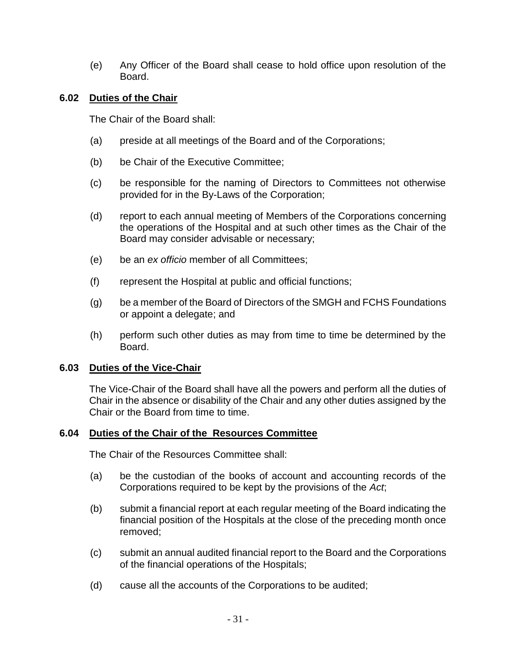(e) Any Officer of the Board shall cease to hold office upon resolution of the Board.

# <span id="page-30-0"></span>**6.02 Duties of the Chair**

The Chair of the Board shall:

- (a) preside at all meetings of the Board and of the Corporations;
- (b) be Chair of the Executive Committee;
- (c) be responsible for the naming of Directors to Committees not otherwise provided for in the By-Laws of the Corporation;
- (d) report to each annual meeting of Members of the Corporations concerning the operations of the Hospital and at such other times as the Chair of the Board may consider advisable or necessary;
- (e) be an *ex officio* member of all Committees;
- (f) represent the Hospital at public and official functions;
- (g) be a member of the Board of Directors of the SMGH and FCHS Foundations or appoint a delegate; and
- (h) perform such other duties as may from time to time be determined by the Board.

#### <span id="page-30-1"></span>**6.03 Duties of the Vice-Chair**

The Vice-Chair of the Board shall have all the powers and perform all the duties of Chair in the absence or disability of the Chair and any other duties assigned by the Chair or the Board from time to time.

#### <span id="page-30-2"></span>**6.04 Duties of the Chair of the Resources Committee**

The Chair of the Resources Committee shall:

- (a) be the custodian of the books of account and accounting records of the Corporations required to be kept by the provisions of the *Act*;
- (b) submit a financial report at each regular meeting of the Board indicating the financial position of the Hospitals at the close of the preceding month once removed;
- (c) submit an annual audited financial report to the Board and the Corporations of the financial operations of the Hospitals;
- (d) cause all the accounts of the Corporations to be audited;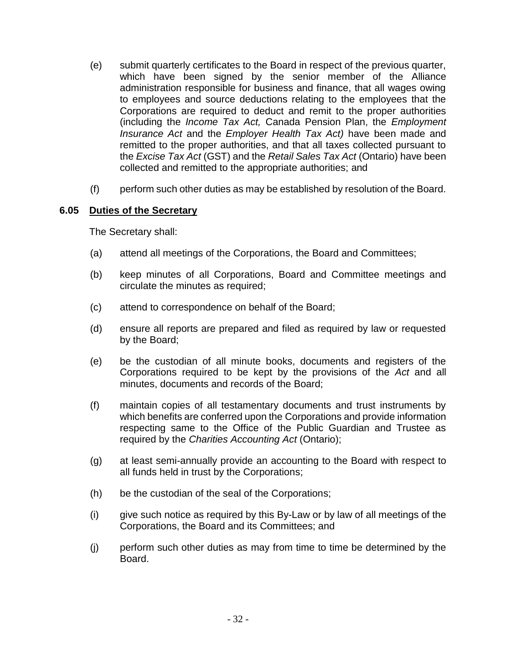- (e) submit quarterly certificates to the Board in respect of the previous quarter, which have been signed by the senior member of the Alliance administration responsible for business and finance, that all wages owing to employees and source deductions relating to the employees that the Corporations are required to deduct and remit to the proper authorities (including the *Income Tax Act,* Canada Pension Plan, the *Employment Insurance Act* and the *Employer Health Tax Act)* have been made and remitted to the proper authorities, and that all taxes collected pursuant to the *Excise Tax Act* (GST) and the *Retail Sales Tax Act* (Ontario) have been collected and remitted to the appropriate authorities; and
- (f) perform such other duties as may be established by resolution of the Board.

#### <span id="page-31-0"></span>**6.05 Duties of the Secretary**

The Secretary shall:

- (a) attend all meetings of the Corporations, the Board and Committees;
- (b) keep minutes of all Corporations, Board and Committee meetings and circulate the minutes as required;
- (c) attend to correspondence on behalf of the Board;
- (d) ensure all reports are prepared and filed as required by law or requested by the Board;
- (e) be the custodian of all minute books, documents and registers of the Corporations required to be kept by the provisions of the *Act* and all minutes, documents and records of the Board;
- (f) maintain copies of all testamentary documents and trust instruments by which benefits are conferred upon the Corporations and provide information respecting same to the Office of the Public Guardian and Trustee as required by the *Charities Accounting Act* (Ontario);
- (g) at least semi-annually provide an accounting to the Board with respect to all funds held in trust by the Corporations;
- (h) be the custodian of the seal of the Corporations;
- (i) give such notice as required by this By-Law or by law of all meetings of the Corporations, the Board and its Committees; and
- (j) perform such other duties as may from time to time be determined by the Board.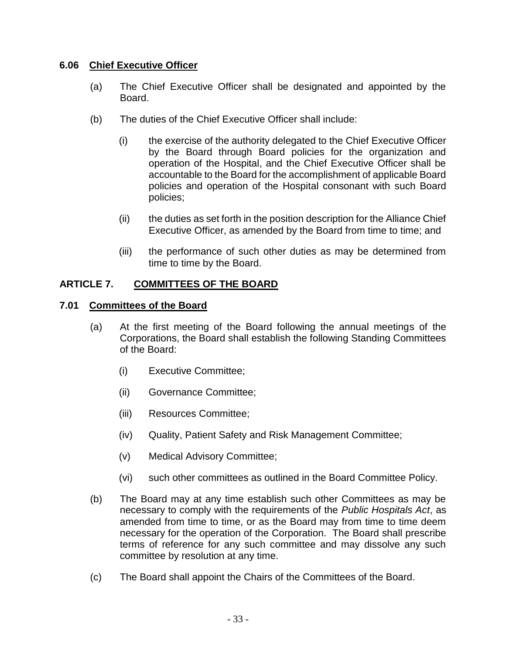# <span id="page-32-0"></span>**6.06 Chief Executive Officer**

- (a) The Chief Executive Officer shall be designated and appointed by the Board.
- (b) The duties of the Chief Executive Officer shall include:
	- (i) the exercise of the authority delegated to the Chief Executive Officer by the Board through Board policies for the organization and operation of the Hospital, and the Chief Executive Officer shall be accountable to the Board for the accomplishment of applicable Board policies and operation of the Hospital consonant with such Board policies;
	- (ii) the duties as set forth in the position description for the Alliance Chief Executive Officer, as amended by the Board from time to time; and
	- (iii) the performance of such other duties as may be determined from time to time by the Board.

# <span id="page-32-1"></span>**ARTICLE 7. COMMITTEES OF THE BOARD**

#### <span id="page-32-2"></span>**7.01 Committees of the Board**

- (a) At the first meeting of the Board following the annual meetings of the Corporations, the Board shall establish the following Standing Committees of the Board:
	- (i) Executive Committee;
	- (ii) Governance Committee;
	- (iii) Resources Committee;
	- (iv) Quality, Patient Safety and Risk Management Committee;
	- (v) Medical Advisory Committee;
	- (vi) such other committees as outlined in the Board Committee Policy.
- (b) The Board may at any time establish such other Committees as may be necessary to comply with the requirements of the *Public Hospitals Act*, as amended from time to time, or as the Board may from time to time deem necessary for the operation of the Corporation. The Board shall prescribe terms of reference for any such committee and may dissolve any such committee by resolution at any time.
- (c) The Board shall appoint the Chairs of the Committees of the Board.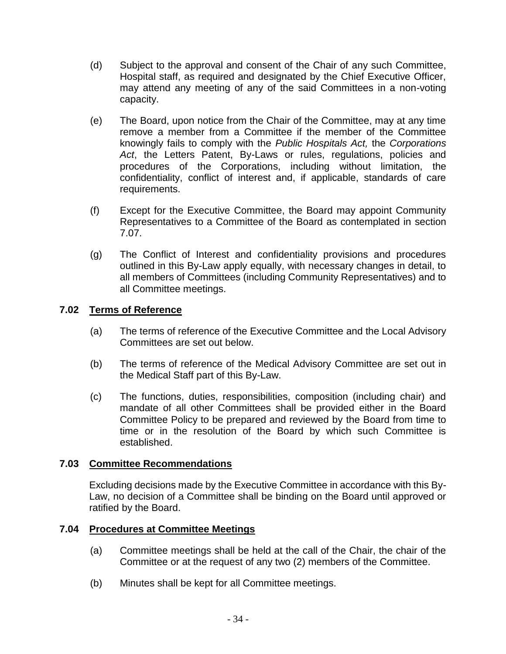- (d) Subject to the approval and consent of the Chair of any such Committee, Hospital staff, as required and designated by the Chief Executive Officer, may attend any meeting of any of the said Committees in a non-voting capacity.
- (e) The Board, upon notice from the Chair of the Committee, may at any time remove a member from a Committee if the member of the Committee knowingly fails to comply with the *Public Hospitals Act,* the *Corporations Act*, the Letters Patent, By-Laws or rules, regulations, policies and procedures of the Corporations, including without limitation, the confidentiality, conflict of interest and, if applicable, standards of care requirements.
- (f) Except for the Executive Committee, the Board may appoint Community Representatives to a Committee of the Board as contemplated in section [7.07.](#page-34-2)
- (g) The Conflict of Interest and confidentiality provisions and procedures outlined in this By-Law apply equally, with necessary changes in detail, to all members of Committees (including Community Representatives) and to all Committee meetings.

# <span id="page-33-0"></span>**7.02 Terms of Reference**

- (a) The terms of reference of the Executive Committee and the Local Advisory Committees are set out below.
- (b) The terms of reference of the Medical Advisory Committee are set out in the Medical Staff part of this By-Law.
- (c) The functions, duties, responsibilities, composition (including chair) and mandate of all other Committees shall be provided either in the Board Committee Policy to be prepared and reviewed by the Board from time to time or in the resolution of the Board by which such Committee is established.

#### <span id="page-33-1"></span>**7.03 Committee Recommendations**

Excluding decisions made by the Executive Committee in accordance with this By-Law, no decision of a Committee shall be binding on the Board until approved or ratified by the Board.

#### <span id="page-33-2"></span>**7.04 Procedures at Committee Meetings**

- (a) Committee meetings shall be held at the call of the Chair, the chair of the Committee or at the request of any two (2) members of the Committee.
- (b) Minutes shall be kept for all Committee meetings.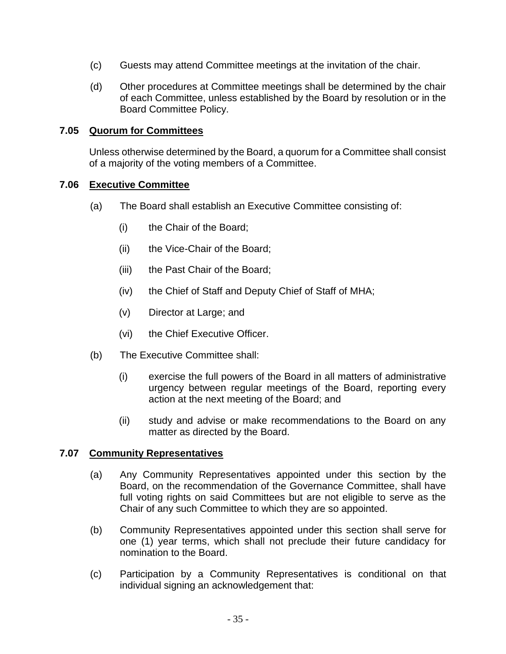- (c) Guests may attend Committee meetings at the invitation of the chair.
- (d) Other procedures at Committee meetings shall be determined by the chair of each Committee, unless established by the Board by resolution or in the Board Committee Policy.

#### <span id="page-34-0"></span>**7.05 Quorum for Committees**

Unless otherwise determined by the Board, a quorum for a Committee shall consist of a majority of the voting members of a Committee.

#### <span id="page-34-1"></span>**7.06 Executive Committee**

- (a) The Board shall establish an Executive Committee consisting of:
	- (i) the Chair of the Board;
	- (ii) the Vice-Chair of the Board;
	- (iii) the Past Chair of the Board;
	- (iv) the Chief of Staff and Deputy Chief of Staff of MHA;
	- (v) Director at Large; and
	- (vi) the Chief Executive Officer.
- (b) The Executive Committee shall:
	- (i) exercise the full powers of the Board in all matters of administrative urgency between regular meetings of the Board, reporting every action at the next meeting of the Board; and
	- (ii) study and advise or make recommendations to the Board on any matter as directed by the Board.

#### <span id="page-34-2"></span>**7.07 Community Representatives**

- (a) Any Community Representatives appointed under this section by the Board, on the recommendation of the Governance Committee, shall have full voting rights on said Committees but are not eligible to serve as the Chair of any such Committee to which they are so appointed.
- (b) Community Representatives appointed under this section shall serve for one (1) year terms, which shall not preclude their future candidacy for nomination to the Board.
- (c) Participation by a Community Representatives is conditional on that individual signing an acknowledgement that: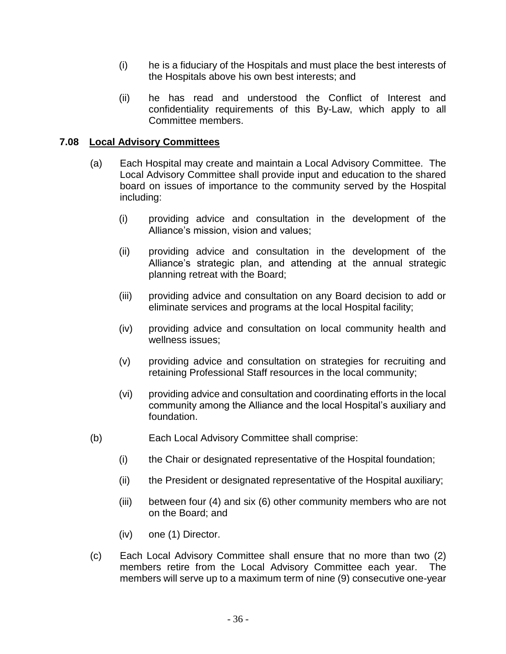- (i) he is a fiduciary of the Hospitals and must place the best interests of the Hospitals above his own best interests; and
- (ii) he has read and understood the Conflict of Interest and confidentiality requirements of this By-Law, which apply to all Committee members.

# <span id="page-35-0"></span>**7.08 Local Advisory Committees**

- (a) Each Hospital may create and maintain a Local Advisory Committee. The Local Advisory Committee shall provide input and education to the shared board on issues of importance to the community served by the Hospital including:
	- (i) providing advice and consultation in the development of the Alliance's mission, vision and values;
	- (ii) providing advice and consultation in the development of the Alliance's strategic plan, and attending at the annual strategic planning retreat with the Board;
	- (iii) providing advice and consultation on any Board decision to add or eliminate services and programs at the local Hospital facility;
	- (iv) providing advice and consultation on local community health and wellness issues;
	- (v) providing advice and consultation on strategies for recruiting and retaining Professional Staff resources in the local community;
	- (vi) providing advice and consultation and coordinating efforts in the local community among the Alliance and the local Hospital's auxiliary and foundation.
- (b) Each Local Advisory Committee shall comprise:
	- (i) the Chair or designated representative of the Hospital foundation;
	- (ii) the President or designated representative of the Hospital auxiliary;
	- (iii) between four (4) and six (6) other community members who are not on the Board; and
	- (iv) one (1) Director.
- (c) Each Local Advisory Committee shall ensure that no more than two (2) members retire from the Local Advisory Committee each year. The members will serve up to a maximum term of nine (9) consecutive one-year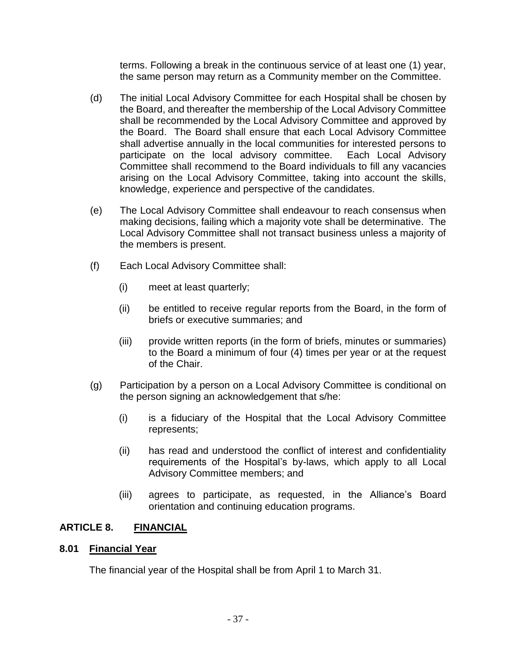terms. Following a break in the continuous service of at least one (1) year, the same person may return as a Community member on the Committee.

- (d) The initial Local Advisory Committee for each Hospital shall be chosen by the Board, and thereafter the membership of the Local Advisory Committee shall be recommended by the Local Advisory Committee and approved by the Board. The Board shall ensure that each Local Advisory Committee shall advertise annually in the local communities for interested persons to participate on the local advisory committee. Each Local Advisory Committee shall recommend to the Board individuals to fill any vacancies arising on the Local Advisory Committee, taking into account the skills, knowledge, experience and perspective of the candidates.
- (e) The Local Advisory Committee shall endeavour to reach consensus when making decisions, failing which a majority vote shall be determinative. The Local Advisory Committee shall not transact business unless a majority of the members is present.
- (f) Each Local Advisory Committee shall:
	- (i) meet at least quarterly;
	- (ii) be entitled to receive regular reports from the Board, in the form of briefs or executive summaries; and
	- (iii) provide written reports (in the form of briefs, minutes or summaries) to the Board a minimum of four (4) times per year or at the request of the Chair.
- (g) Participation by a person on a Local Advisory Committee is conditional on the person signing an acknowledgement that s/he:
	- (i) is a fiduciary of the Hospital that the Local Advisory Committee represents;
	- (ii) has read and understood the conflict of interest and confidentiality requirements of the Hospital's by-laws, which apply to all Local Advisory Committee members; and
	- (iii) agrees to participate, as requested, in the Alliance's Board orientation and continuing education programs.

#### <span id="page-36-0"></span>**ARTICLE 8. FINANCIAL**

#### <span id="page-36-1"></span>**8.01 Financial Year**

The financial year of the Hospital shall be from April 1 to March 31.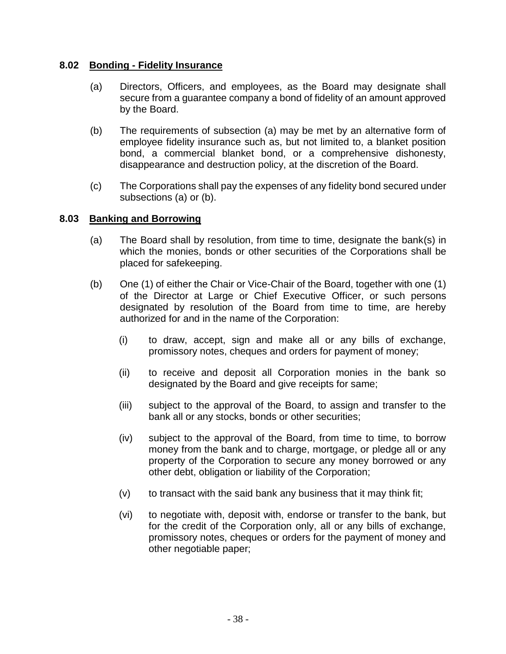# <span id="page-37-0"></span>**8.02 Bonding - Fidelity Insurance**

- (a) Directors, Officers, and employees, as the Board may designate shall secure from a guarantee company a bond of fidelity of an amount approved by the Board.
- (b) The requirements of subsection (a) may be met by an alternative form of employee fidelity insurance such as, but not limited to, a blanket position bond, a commercial blanket bond, or a comprehensive dishonesty, disappearance and destruction policy, at the discretion of the Board.
- (c) The Corporations shall pay the expenses of any fidelity bond secured under subsections (a) or (b).

#### <span id="page-37-1"></span>**8.03 Banking and Borrowing**

- (a) The Board shall by resolution, from time to time, designate the bank(s) in which the monies, bonds or other securities of the Corporations shall be placed for safekeeping.
- (b) One (1) of either the Chair or Vice-Chair of the Board, together with one (1) of the Director at Large or Chief Executive Officer, or such persons designated by resolution of the Board from time to time, are hereby authorized for and in the name of the Corporation:
	- (i) to draw, accept, sign and make all or any bills of exchange, promissory notes, cheques and orders for payment of money;
	- (ii) to receive and deposit all Corporation monies in the bank so designated by the Board and give receipts for same;
	- (iii) subject to the approval of the Board, to assign and transfer to the bank all or any stocks, bonds or other securities;
	- (iv) subject to the approval of the Board, from time to time, to borrow money from the bank and to charge, mortgage, or pledge all or any property of the Corporation to secure any money borrowed or any other debt, obligation or liability of the Corporation;
	- $(v)$  to transact with the said bank any business that it may think fit;
	- (vi) to negotiate with, deposit with, endorse or transfer to the bank, but for the credit of the Corporation only, all or any bills of exchange, promissory notes, cheques or orders for the payment of money and other negotiable paper;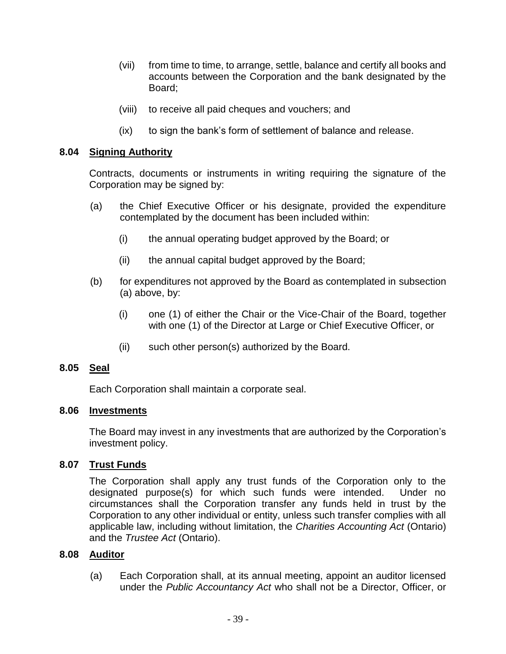- (vii) from time to time, to arrange, settle, balance and certify all books and accounts between the Corporation and the bank designated by the Board;
- (viii) to receive all paid cheques and vouchers; and
- (ix) to sign the bank's form of settlement of balance and release.

### <span id="page-38-0"></span>**8.04 Signing Authority**

Contracts, documents or instruments in writing requiring the signature of the Corporation may be signed by:

- (a) the Chief Executive Officer or his designate, provided the expenditure contemplated by the document has been included within:
	- (i) the annual operating budget approved by the Board; or
	- (ii) the annual capital budget approved by the Board;
- (b) for expenditures not approved by the Board as contemplated in subsection (a) above, by:
	- (i) one (1) of either the Chair or the Vice-Chair of the Board, together with one (1) of the Director at Large or Chief Executive Officer, or
	- (ii) such other person(s) authorized by the Board.

#### <span id="page-38-1"></span>**8.05 Seal**

Each Corporation shall maintain a corporate seal.

#### <span id="page-38-2"></span>**8.06 Investments**

The Board may invest in any investments that are authorized by the Corporation's investment policy.

# <span id="page-38-3"></span>**8.07 Trust Funds**

The Corporation shall apply any trust funds of the Corporation only to the designated purpose(s) for which such funds were intended. Under no circumstances shall the Corporation transfer any funds held in trust by the Corporation to any other individual or entity, unless such transfer complies with all applicable law, including without limitation, the *Charities Accounting Act* (Ontario) and the *Trustee Act* (Ontario).

#### <span id="page-38-4"></span>**8.08 Auditor**

(a) Each Corporation shall, at its annual meeting, appoint an auditor licensed under the *Public Accountancy Act* who shall not be a Director, Officer, or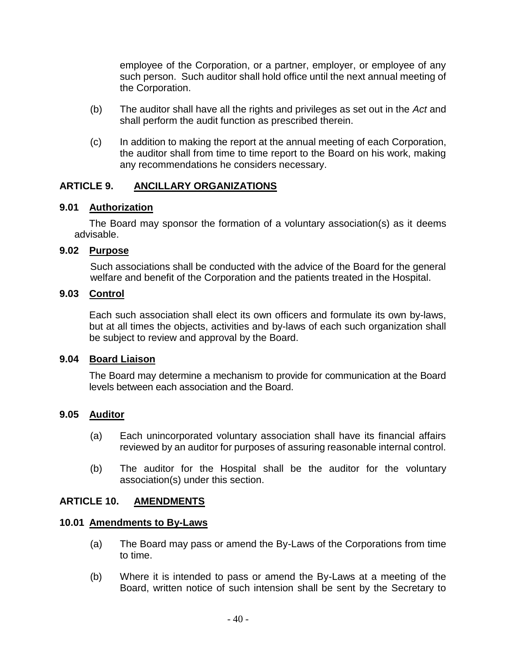employee of the Corporation, or a partner, employer, or employee of any such person. Such auditor shall hold office until the next annual meeting of the Corporation.

- (b) The auditor shall have all the rights and privileges as set out in the *Act* and shall perform the audit function as prescribed therein.
- (c) In addition to making the report at the annual meeting of each Corporation, the auditor shall from time to time report to the Board on his work, making any recommendations he considers necessary.

# <span id="page-39-0"></span>**ARTICLE 9. ANCILLARY ORGANIZATIONS**

# <span id="page-39-1"></span>**9.01 Authorization**

The Board may sponsor the formation of a voluntary association(s) as it deems advisable.

# <span id="page-39-2"></span>**9.02 Purpose**

Such associations shall be conducted with the advice of the Board for the general welfare and benefit of the Corporation and the patients treated in the Hospital.

# <span id="page-39-3"></span>**9.03 Control**

Each such association shall elect its own officers and formulate its own by-laws, but at all times the objects, activities and by-laws of each such organization shall be subject to review and approval by the Board.

#### <span id="page-39-4"></span>**9.04 Board Liaison**

The Board may determine a mechanism to provide for communication at the Board levels between each association and the Board.

# <span id="page-39-5"></span>**9.05 Auditor**

- (a) Each unincorporated voluntary association shall have its financial affairs reviewed by an auditor for purposes of assuring reasonable internal control.
- (b) The auditor for the Hospital shall be the auditor for the voluntary association(s) under this section.

# <span id="page-39-6"></span>**ARTICLE 10. AMENDMENTS**

#### <span id="page-39-7"></span>**10.01 Amendments to By-Laws**

- (a) The Board may pass or amend the By-Laws of the Corporations from time to time.
- (b) Where it is intended to pass or amend the By-Laws at a meeting of the Board, written notice of such intension shall be sent by the Secretary to